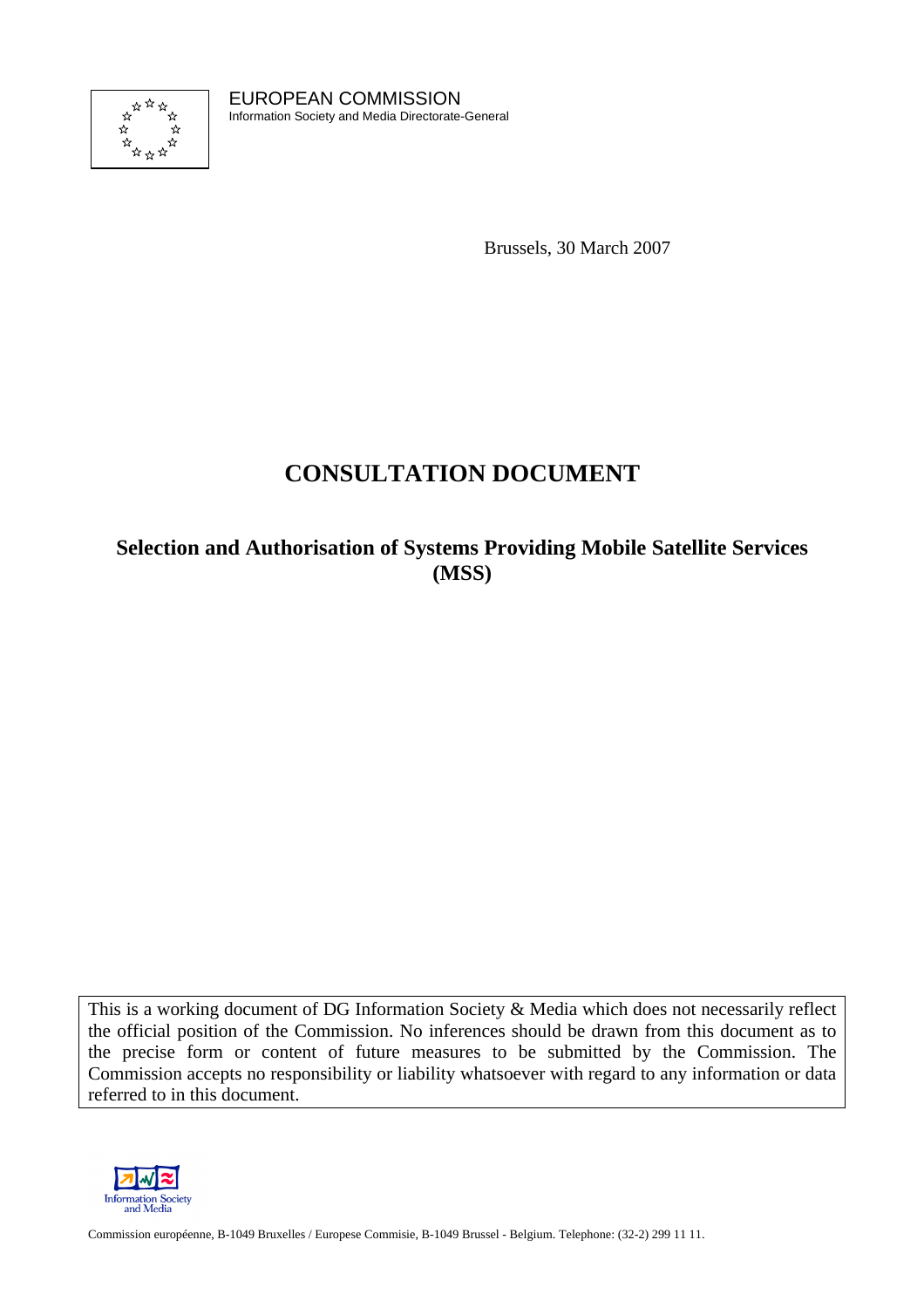

EUROPEAN COMMISSION Information Society and Media Directorate-General

Brussels, 30 March 2007

# **CONSULTATION DOCUMENT**

## **Selection and Authorisation of Systems Providing Mobile Satellite Services (MSS)**

This is a working document of DG Information Society & Media which does not necessarily reflect the official position of the Commission. No inferences should be drawn from this document as to the precise form or content of future measures to be submitted by the Commission. The Commission accepts no responsibility or liability whatsoever with regard to any information or data referred to in this document.



Information Society<br>
and Media<br>
Commission européenne, B-1049 Bruxelles / Europese Commisie, B-1049 Brussel - Belgium. Telephone: (32-2) 299 11 11.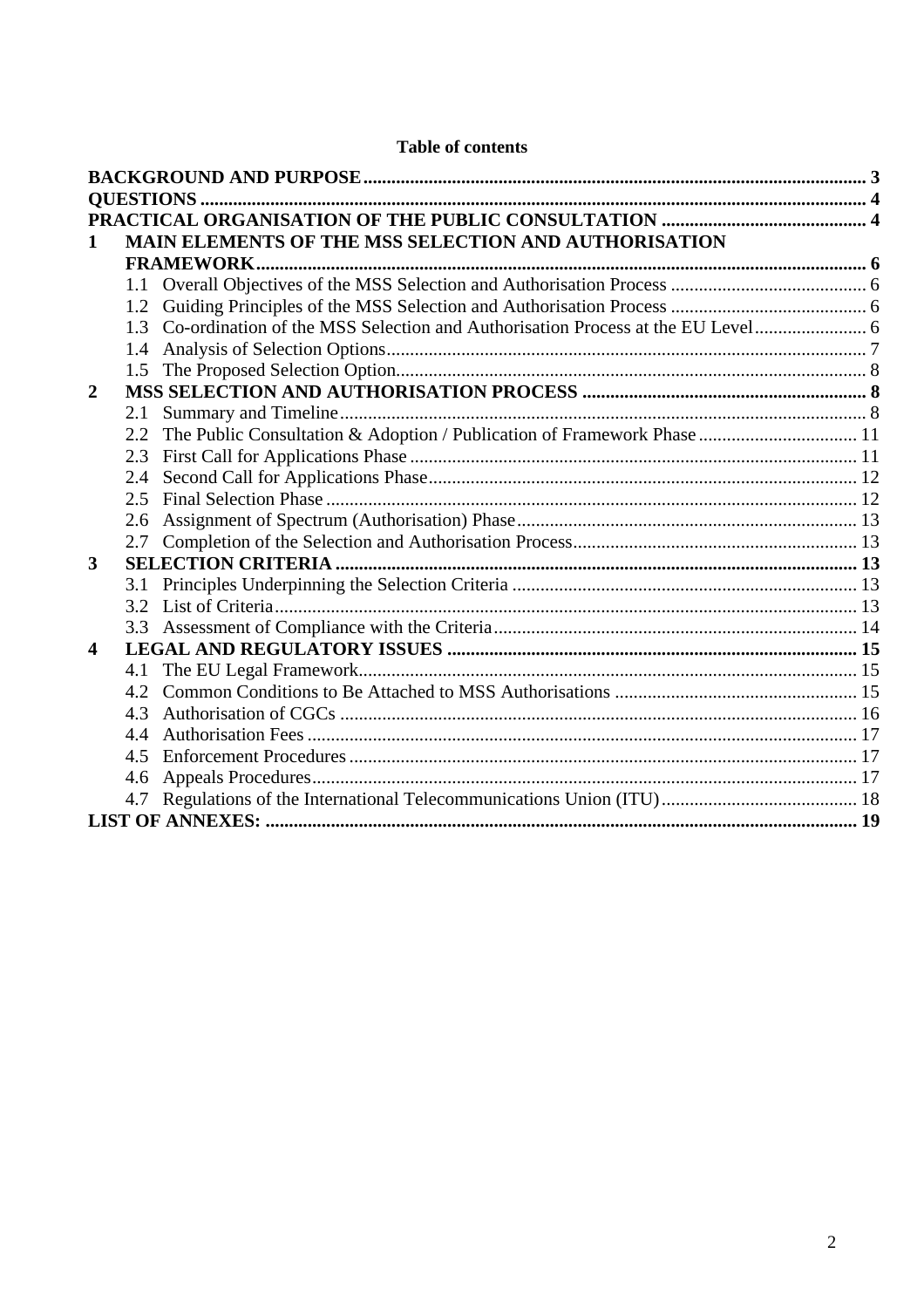| 1                       |                   | MAIN ELEMENTS OF THE MSS SELECTION AND AUTHORISATION                        |  |  |  |
|-------------------------|-------------------|-----------------------------------------------------------------------------|--|--|--|
|                         | <b>FRAMEWORK.</b> |                                                                             |  |  |  |
|                         |                   |                                                                             |  |  |  |
|                         | 1.2               |                                                                             |  |  |  |
|                         | 1.3               |                                                                             |  |  |  |
|                         |                   |                                                                             |  |  |  |
|                         | 1.5               |                                                                             |  |  |  |
| $\overline{2}$          |                   |                                                                             |  |  |  |
|                         | 2.1               |                                                                             |  |  |  |
|                         |                   | 2.2 The Public Consultation & Adoption / Publication of Framework Phase  11 |  |  |  |
|                         | 2.3               |                                                                             |  |  |  |
|                         | 2.4               |                                                                             |  |  |  |
|                         | 2.5               |                                                                             |  |  |  |
|                         | 2.6               |                                                                             |  |  |  |
|                         | 2.7               |                                                                             |  |  |  |
| 3                       |                   |                                                                             |  |  |  |
|                         |                   |                                                                             |  |  |  |
|                         |                   |                                                                             |  |  |  |
|                         |                   |                                                                             |  |  |  |
| $\overline{\mathbf{4}}$ |                   |                                                                             |  |  |  |
|                         |                   |                                                                             |  |  |  |
|                         | 4.2               |                                                                             |  |  |  |
|                         | 4.3               |                                                                             |  |  |  |
|                         | 4.4               |                                                                             |  |  |  |
|                         | 4.5               |                                                                             |  |  |  |
|                         | 4.6               |                                                                             |  |  |  |
|                         |                   |                                                                             |  |  |  |
|                         |                   |                                                                             |  |  |  |

## **Table of contents**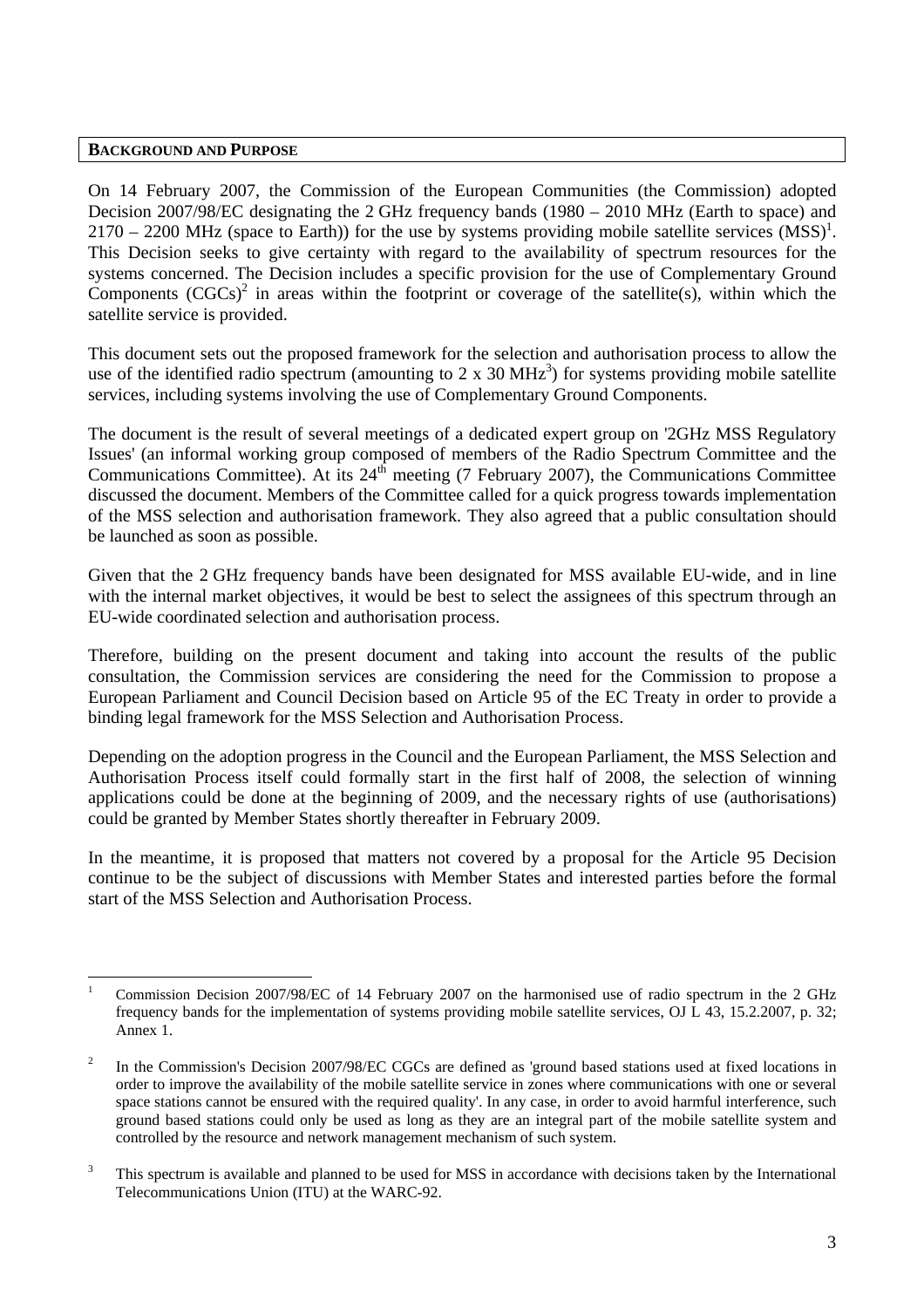#### <span id="page-2-0"></span>**BACKGROUND AND PURPOSE**

On 14 February 2007, the Commission of the European Communities (the Commission) adopted Decision 2007/98/EC designating the 2 GHz frequency bands (1980 – 2010 MHz (Earth to space) and  $2170 - 2200$  MHz (space to Earth)) for the use by systems providing mobile satellite services (MSS)<sup>1</sup>. This Decision seeks to give certainty with regard to the availability of spectrum resources for the systems concerned. The Decision includes a specific provision for the use of Complementary Ground Components  $(CGCs)^2$  in areas within the footprint or coverage of the satellite(s), within which the satellite service is provided.

This document sets out the proposed framework for the selection and authorisation process to allow the use of the identified radio spectrum (amounting to 2 x 30 MHz<sup>3</sup>) for systems providing mobile satellite services, including systems involving the use of Complementary Ground Components.

The document is the result of several meetings of a dedicated expert group on '2GHz MSS Regulatory Issues' (an informal working group composed of members of the Radio Spectrum Committee and the Communications Committee). At its  $24<sup>th</sup>$  meeting (7 February 2007), the Communications Committee discussed the document. Members of the Committee called for a quick progress towards implementation of the MSS selection and authorisation framework. They also agreed that a public consultation should be launched as soon as possible.

Given that the 2 GHz frequency bands have been designated for MSS available EU-wide, and in line with the internal market objectives, it would be best to select the assignees of this spectrum through an EU-wide coordinated selection and authorisation process.

Therefore, building on the present document and taking into account the results of the public consultation, the Commission services are considering the need for the Commission to propose a European Parliament and Council Decision based on Article 95 of the EC Treaty in order to provide a binding legal framework for the MSS Selection and Authorisation Process.

Depending on the adoption progress in the Council and the European Parliament, the MSS Selection and Authorisation Process itself could formally start in the first half of 2008, the selection of winning applications could be done at the beginning of 2009, and the necessary rights of use (authorisations) could be granted by Member States shortly thereafter in February 2009.

In the meantime, it is proposed that matters not covered by a proposal for the Article 95 Decision continue to be the subject of discussions with Member States and interested parties before the formal start of the MSS Selection and Authorisation Process.

l 1 Commission Decision 2007/98/EC of 14 February 2007 on the harmonised use of radio spectrum in the 2 GHz frequency bands for the implementation of systems providing mobile satellite services, OJ L 43, 15.2.2007, p. 32; Annex 1.

<sup>2</sup> In the Commission's Decision 2007/98/EC CGCs are defined as 'ground based stations used at fixed locations in order to improve the availability of the mobile satellite service in zones where communications with one or several space stations cannot be ensured with the required quality'. In any case, in order to avoid harmful interference, such ground based stations could only be used as long as they are an integral part of the mobile satellite system and controlled by the resource and network management mechanism of such system.

<sup>3</sup> This spectrum is available and planned to be used for MSS in accordance with decisions taken by the International Telecommunications Union (ITU) at the WARC-92.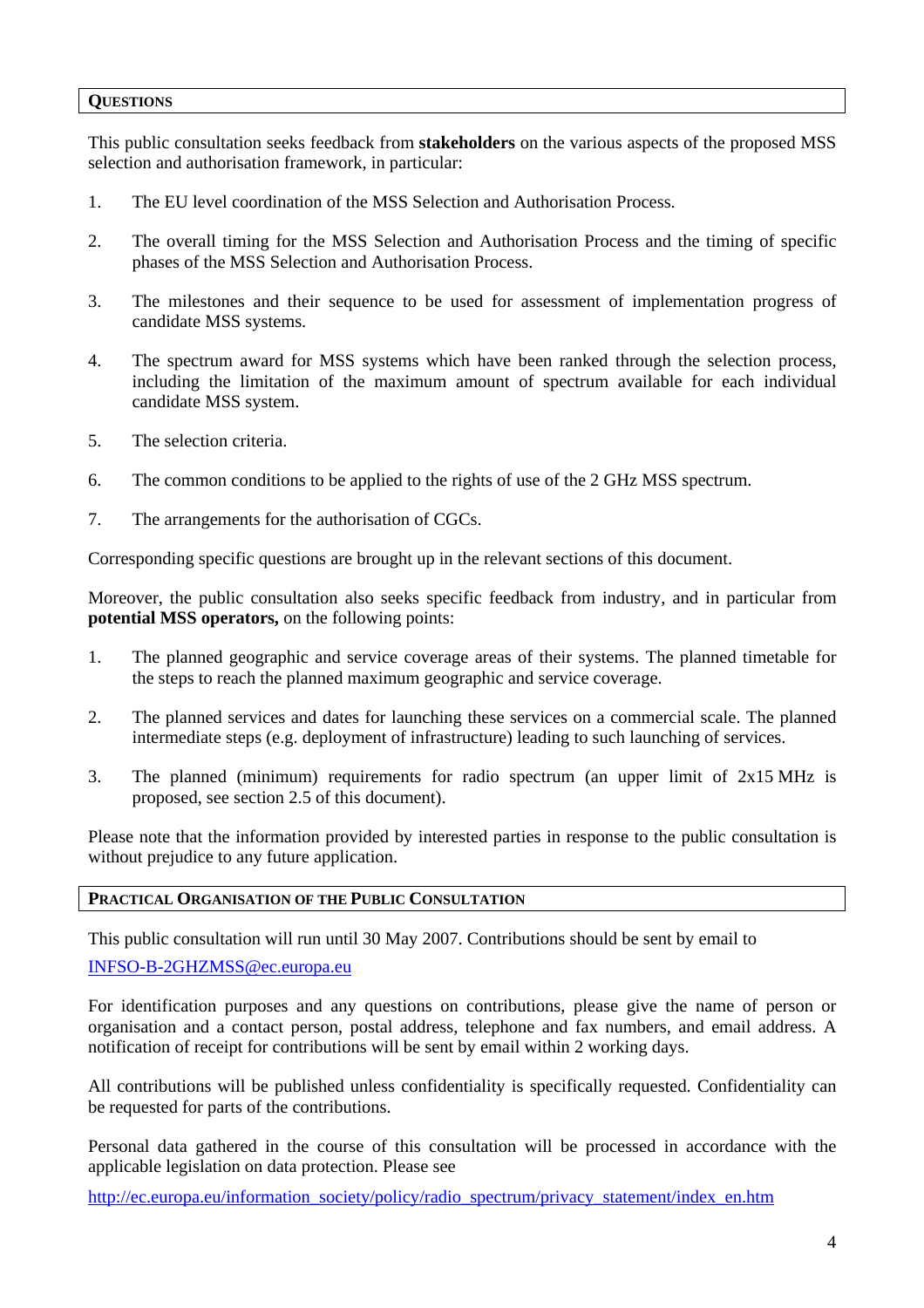#### <span id="page-3-0"></span>**QUESTIONS**

This public consultation seeks feedback from **stakeholders** on the various aspects of the proposed MSS selection and authorisation framework, in particular:

- 1. The EU level coordination of the MSS Selection and Authorisation Process.
- 2. The overall timing for the MSS Selection and Authorisation Process and the timing of specific phases of the MSS Selection and Authorisation Process.
- 3. The milestones and their sequence to be used for assessment of implementation progress of candidate MSS systems.
- 4. The spectrum award for MSS systems which have been ranked through the selection process, including the limitation of the maximum amount of spectrum available for each individual candidate MSS system.
- 5. The selection criteria.
- 6. The common conditions to be applied to the rights of use of the 2 GHz MSS spectrum.
- 7. The arrangements for the authorisation of CGCs.

Corresponding specific questions are brought up in the relevant sections of this document.

Moreover, the public consultation also seeks specific feedback from industry, and in particular from **potential MSS operators,** on the following points:

- 1. The planned geographic and service coverage areas of their systems. The planned timetable for the steps to reach the planned maximum geographic and service coverage.
- 2. The planned services and dates for launching these services on a commercial scale. The planned intermediate steps (e.g. deployment of infrastructure) leading to such launching of services.
- 3. The planned (minimum) requirements for radio spectrum (an upper limit of 2x15 MHz is proposed, see section 2.5 of this document).

Please note that the information provided by interested parties in response to the public consultation is without prejudice to any future application.

#### <span id="page-3-1"></span>**PRACTICAL ORGANISATION OF THE PUBLIC CONSULTATION**

This public consultation will run until 30 May 2007. Contributions should be sent by email to

#### [INFSO-B-2GHZMSS@ec.europa.eu](mailto:INFSO-B-2GHZMSS@ec.europa.eu)

For identification purposes and any questions on contributions, please give the name of person or organisation and a contact person, postal address, telephone and fax numbers, and email address. A notification of receipt for contributions will be sent by email within 2 working days.

All contributions will be published unless confidentiality is specifically requested. Confidentiality can be requested for parts of the contributions.

Personal data gathered in the course of this consultation will be processed in accordance with the applicable legislation on data protection. Please see

[http://ec.europa.eu/information\\_society/policy/radio\\_spectrum/privacy\\_statement/index\\_en.htm](http://ec.europa.eu/information_society/policy/radio_spectrum/privacy_statement/index_en.htm)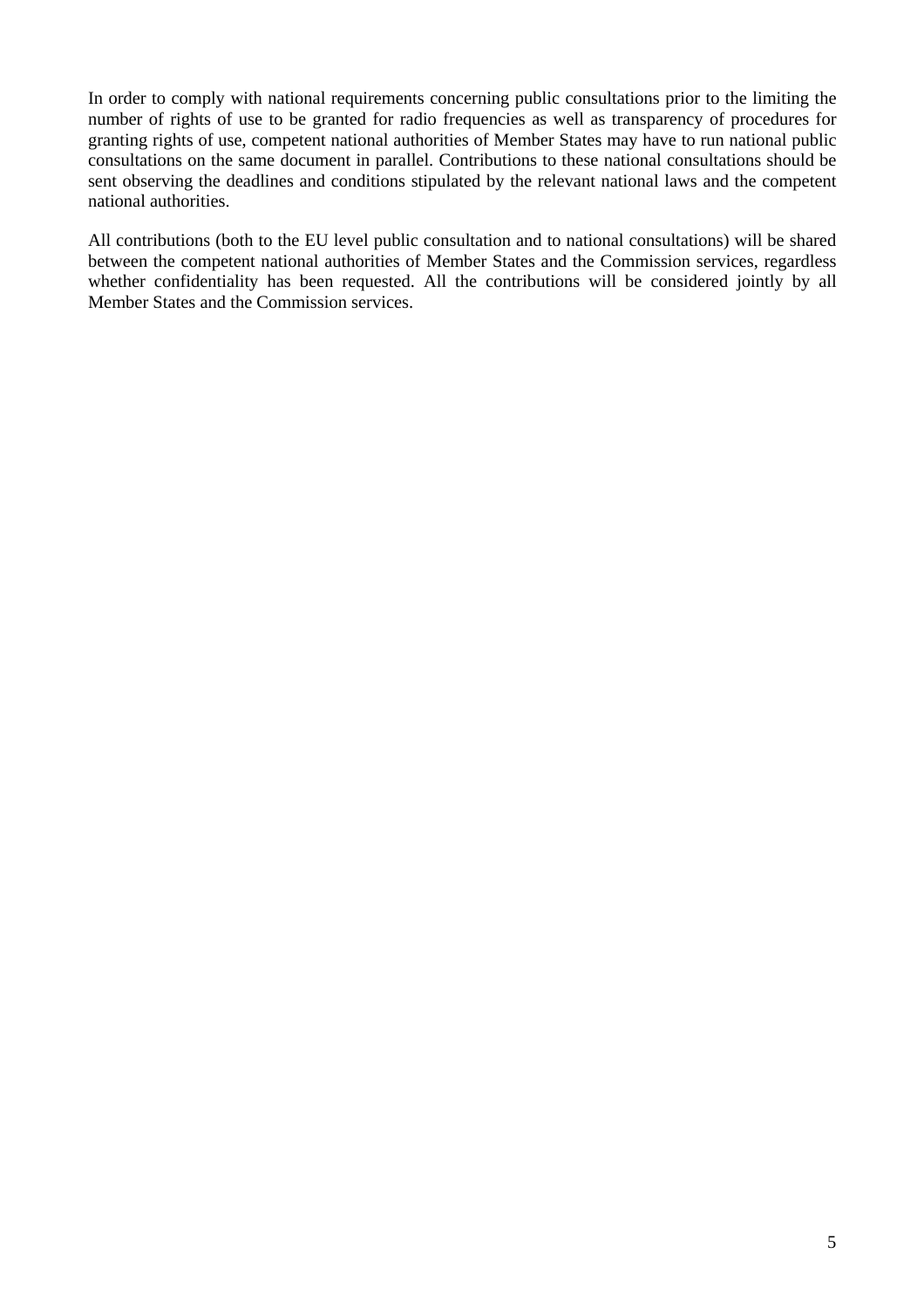In order to comply with national requirements concerning public consultations prior to the limiting the number of rights of use to be granted for radio frequencies as well as transparency of procedures for granting rights of use, competent national authorities of Member States may have to run national public consultations on the same document in parallel. Contributions to these national consultations should be sent observing the deadlines and conditions stipulated by the relevant national laws and the competent national authorities.

All contributions (both to the EU level public consultation and to national consultations) will be shared between the competent national authorities of Member States and the Commission services, regardless whether confidentiality has been requested. All the contributions will be considered jointly by all Member States and the Commission services.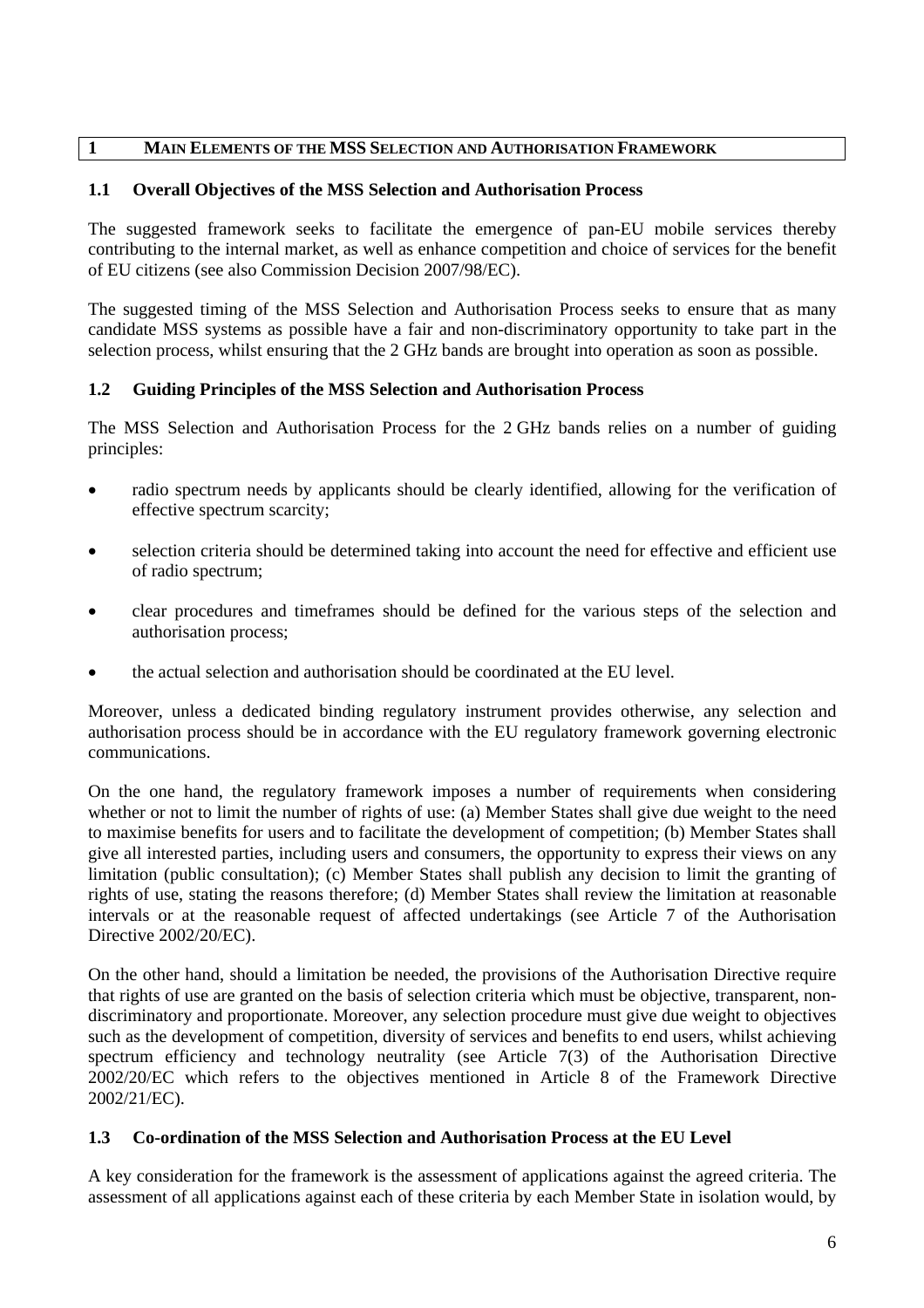#### <span id="page-5-0"></span>**1 MAIN ELEMENTS OF THE MSS SELECTION AND AUTHORISATION FRAMEWORK**

## <span id="page-5-1"></span>**1.1 Overall Objectives of the MSS Selection and Authorisation Process**

The suggested framework seeks to facilitate the emergence of pan-EU mobile services thereby contributing to the internal market, as well as enhance competition and choice of services for the benefit of EU citizens (see also Commission Decision 2007/98/EC).

The suggested timing of the MSS Selection and Authorisation Process seeks to ensure that as many candidate MSS systems as possible have a fair and non-discriminatory opportunity to take part in the selection process, whilst ensuring that the 2 GHz bands are brought into operation as soon as possible.

## <span id="page-5-2"></span>**1.2 Guiding Principles of the MSS Selection and Authorisation Process**

The MSS Selection and Authorisation Process for the 2 GHz bands relies on a number of guiding principles:

- radio spectrum needs by applicants should be clearly identified, allowing for the verification of effective spectrum scarcity;
- selection criteria should be determined taking into account the need for effective and efficient use of radio spectrum;
- clear procedures and timeframes should be defined for the various steps of the selection and authorisation process;
- the actual selection and authorisation should be coordinated at the EU level.

Moreover, unless a dedicated binding regulatory instrument provides otherwise, any selection and authorisation process should be in accordance with the EU regulatory framework governing electronic communications.

On the one hand, the regulatory framework imposes a number of requirements when considering whether or not to limit the number of rights of use: (a) Member States shall give due weight to the need to maximise benefits for users and to facilitate the development of competition; (b) Member States shall give all interested parties, including users and consumers, the opportunity to express their views on any limitation (public consultation); (c) Member States shall publish any decision to limit the granting of rights of use, stating the reasons therefore; (d) Member States shall review the limitation at reasonable intervals or at the reasonable request of affected undertakings (see Article 7 of the Authorisation Directive 2002/20/EC).

On the other hand, should a limitation be needed, the provisions of the Authorisation Directive require that rights of use are granted on the basis of selection criteria which must be objective, transparent, nondiscriminatory and proportionate. Moreover, any selection procedure must give due weight to objectives such as the development of competition, diversity of services and benefits to end users, whilst achieving spectrum efficiency and technology neutrality (see Article 7(3) of the Authorisation Directive 2002/20/EC which refers to the objectives mentioned in Article 8 of the Framework Directive 2002/21/EC).

## <span id="page-5-3"></span>**1.3 Co-ordination of the MSS Selection and Authorisation Process at the EU Level**

A key consideration for the framework is the assessment of applications against the agreed criteria. The assessment of all applications against each of these criteria by each Member State in isolation would, by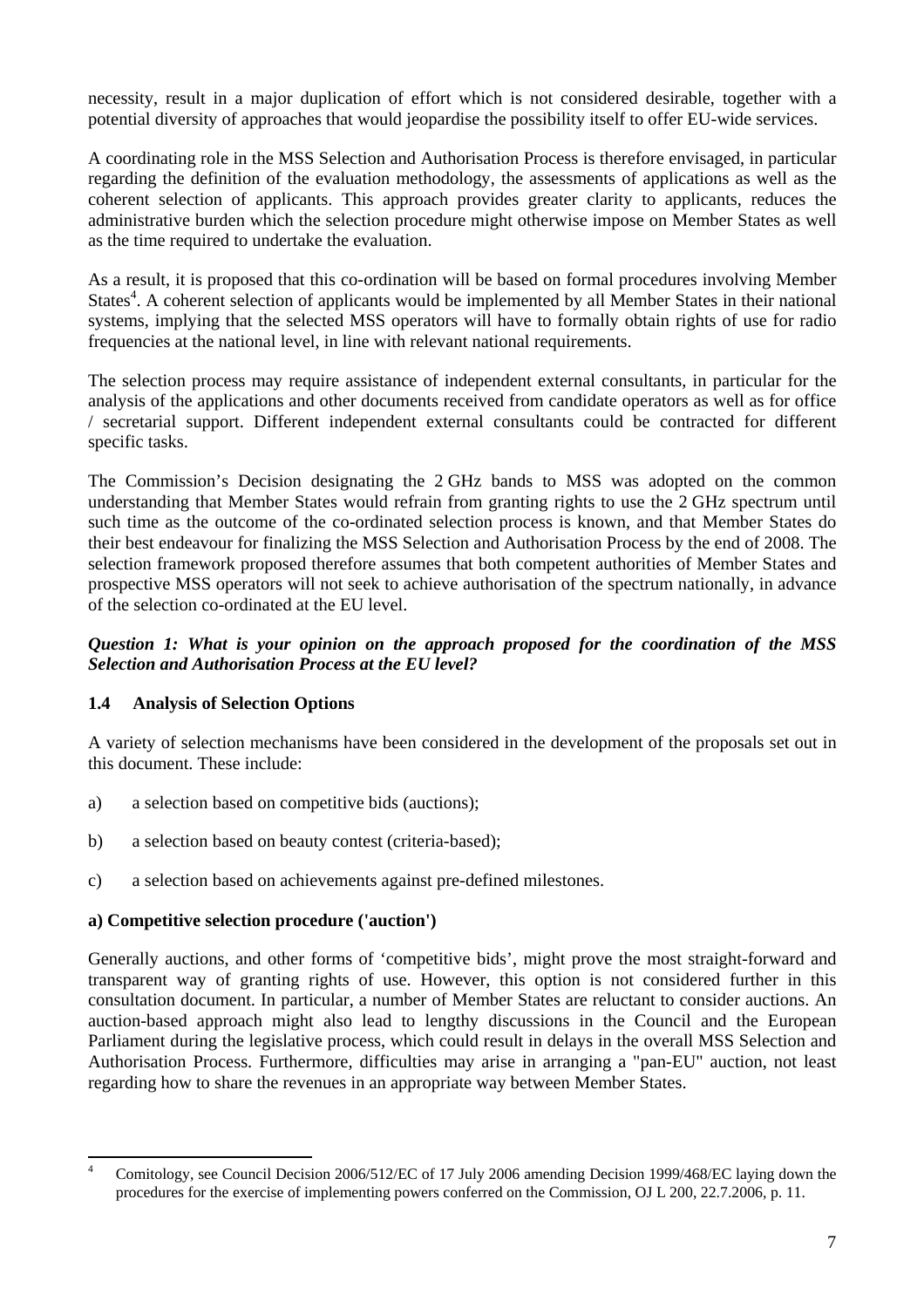necessity, result in a major duplication of effort which is not considered desirable, together with a potential diversity of approaches that would jeopardise the possibility itself to offer EU-wide services.

A coordinating role in the MSS Selection and Authorisation Process is therefore envisaged, in particular regarding the definition of the evaluation methodology, the assessments of applications as well as the coherent selection of applicants. This approach provides greater clarity to applicants, reduces the administrative burden which the selection procedure might otherwise impose on Member States as well as the time required to undertake the evaluation.

As a result, it is proposed that this co-ordination will be based on formal procedures involving Member States<sup>4</sup>. A coherent selection of applicants would be implemented by all Member States in their national systems, implying that the selected MSS operators will have to formally obtain rights of use for radio frequencies at the national level, in line with relevant national requirements.

The selection process may require assistance of independent external consultants, in particular for the analysis of the applications and other documents received from candidate operators as well as for office / secretarial support. Different independent external consultants could be contracted for different specific tasks.

The Commission's Decision designating the 2 GHz bands to MSS was adopted on the common understanding that Member States would refrain from granting rights to use the 2 GHz spectrum until such time as the outcome of the co-ordinated selection process is known, and that Member States do their best endeavour for finalizing the MSS Selection and Authorisation Process by the end of 2008. The selection framework proposed therefore assumes that both competent authorities of Member States and prospective MSS operators will not seek to achieve authorisation of the spectrum nationally, in advance of the selection co-ordinated at the EU level.

#### *Question 1: What is your opinion on the approach proposed for the coordination of the MSS Selection and Authorisation Process at the EU level?*

## <span id="page-6-0"></span>**1.4 Analysis of Selection Options**

A variety of selection mechanisms have been considered in the development of the proposals set out in this document. These include:

- a) a selection based on competitive bids (auctions);
- b) a selection based on beauty contest (criteria-based);
- c) a selection based on achievements against pre-defined milestones.

#### **a) Competitive selection procedure ('auction')**

Generally auctions, and other forms of 'competitive bids', might prove the most straight-forward and transparent way of granting rights of use. However, this option is not considered further in this consultation document. In particular, a number of Member States are reluctant to consider auctions. An auction-based approach might also lead to lengthy discussions in the Council and the European Parliament during the legislative process, which could result in delays in the overall MSS Selection and Authorisation Process. Furthermore, difficulties may arise in arranging a "pan-EU" auction, not least regarding how to share the revenues in an appropriate way between Member States.

 $\frac{1}{4}$  Comitology, see Council Decision 2006/512/EC of 17 July 2006 amending Decision 1999/468/EC laying down the procedures for the exercise of implementing powers conferred on the Commission, OJ L 200, 22.7.2006, p. 11.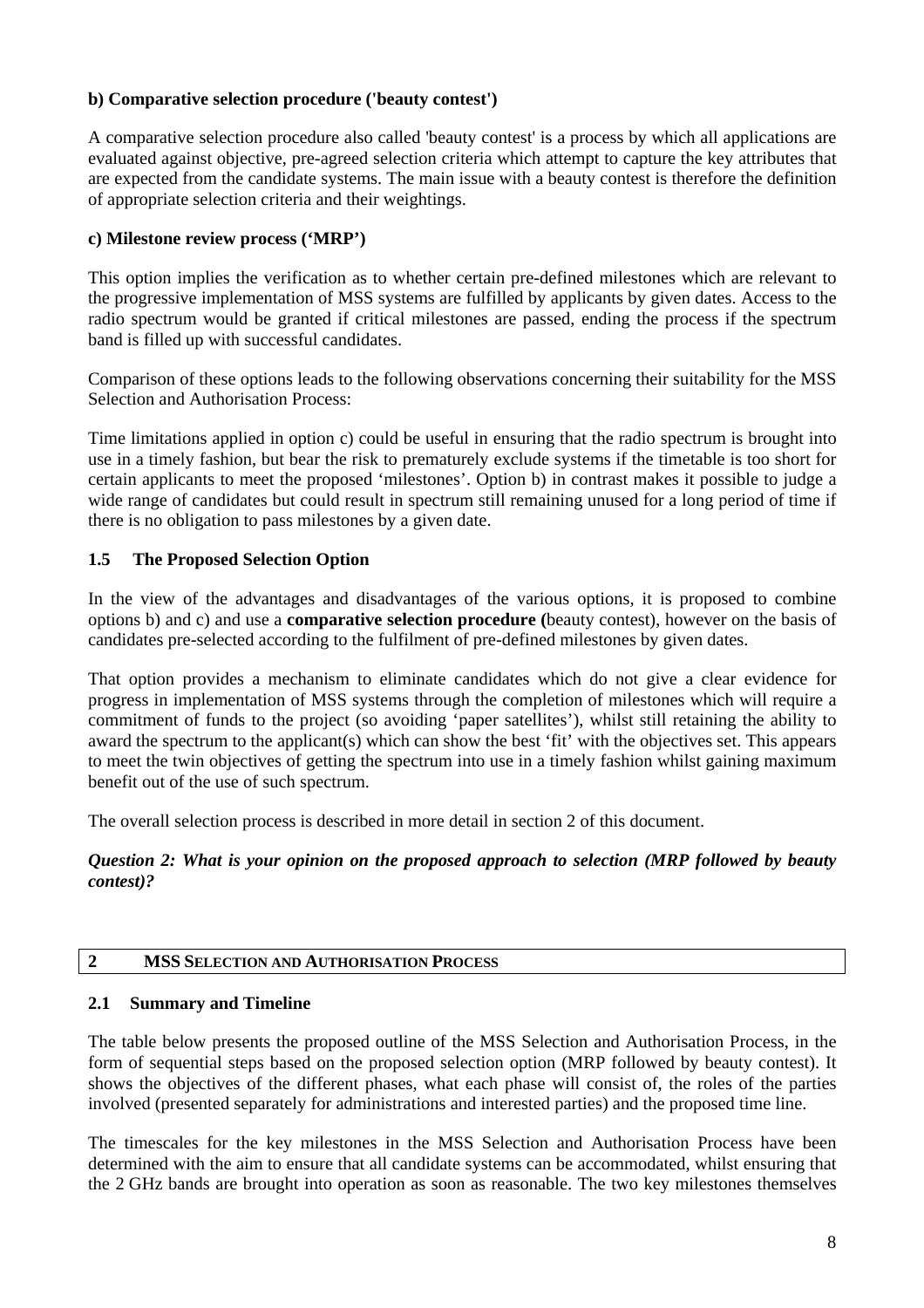## **b) Comparative selection procedure ('beauty contest')**

A comparative selection procedure also called 'beauty contest' is a process by which all applications are evaluated against objective, pre-agreed selection criteria which attempt to capture the key attributes that are expected from the candidate systems. The main issue with a beauty contest is therefore the definition of appropriate selection criteria and their weightings.

## **c) Milestone review process ('MRP')**

This option implies the verification as to whether certain pre-defined milestones which are relevant to the progressive implementation of MSS systems are fulfilled by applicants by given dates. Access to the radio spectrum would be granted if critical milestones are passed, ending the process if the spectrum band is filled up with successful candidates.

Comparison of these options leads to the following observations concerning their suitability for the MSS Selection and Authorisation Process:

Time limitations applied in option c) could be useful in ensuring that the radio spectrum is brought into use in a timely fashion, but bear the risk to prematurely exclude systems if the timetable is too short for certain applicants to meet the proposed 'milestones'. Option b) in contrast makes it possible to judge a wide range of candidates but could result in spectrum still remaining unused for a long period of time if there is no obligation to pass milestones by a given date.

## <span id="page-7-0"></span>**1.5 The Proposed Selection Option**

In the view of the advantages and disadvantages of the various options, it is proposed to combine options b) and c) and use a **comparative selection procedure (**beauty contest), however on the basis of candidates pre-selected according to the fulfilment of pre-defined milestones by given dates.

That option provides a mechanism to eliminate candidates which do not give a clear evidence for progress in implementation of MSS systems through the completion of milestones which will require a commitment of funds to the project (so avoiding 'paper satellites'), whilst still retaining the ability to award the spectrum to the applicant(s) which can show the best 'fit' with the objectives set. This appears to meet the twin objectives of getting the spectrum into use in a timely fashion whilst gaining maximum benefit out of the use of such spectrum.

The overall selection process is described in more detail in section 2 of this document.

*Question 2: What is your opinion on the proposed approach to selection (MRP followed by beauty contest)?* 

#### <span id="page-7-1"></span>**2 MSS SELECTION AND AUTHORISATION PROCESS**

#### <span id="page-7-2"></span>**2.1 Summary and Timeline**

The table below presents the proposed outline of the MSS Selection and Authorisation Process, in the form of sequential steps based on the proposed selection option (MRP followed by beauty contest). It shows the objectives of the different phases, what each phase will consist of, the roles of the parties involved (presented separately for administrations and interested parties) and the proposed time line.

The timescales for the key milestones in the MSS Selection and Authorisation Process have been determined with the aim to ensure that all candidate systems can be accommodated, whilst ensuring that the 2 GHz bands are brought into operation as soon as reasonable. The two key milestones themselves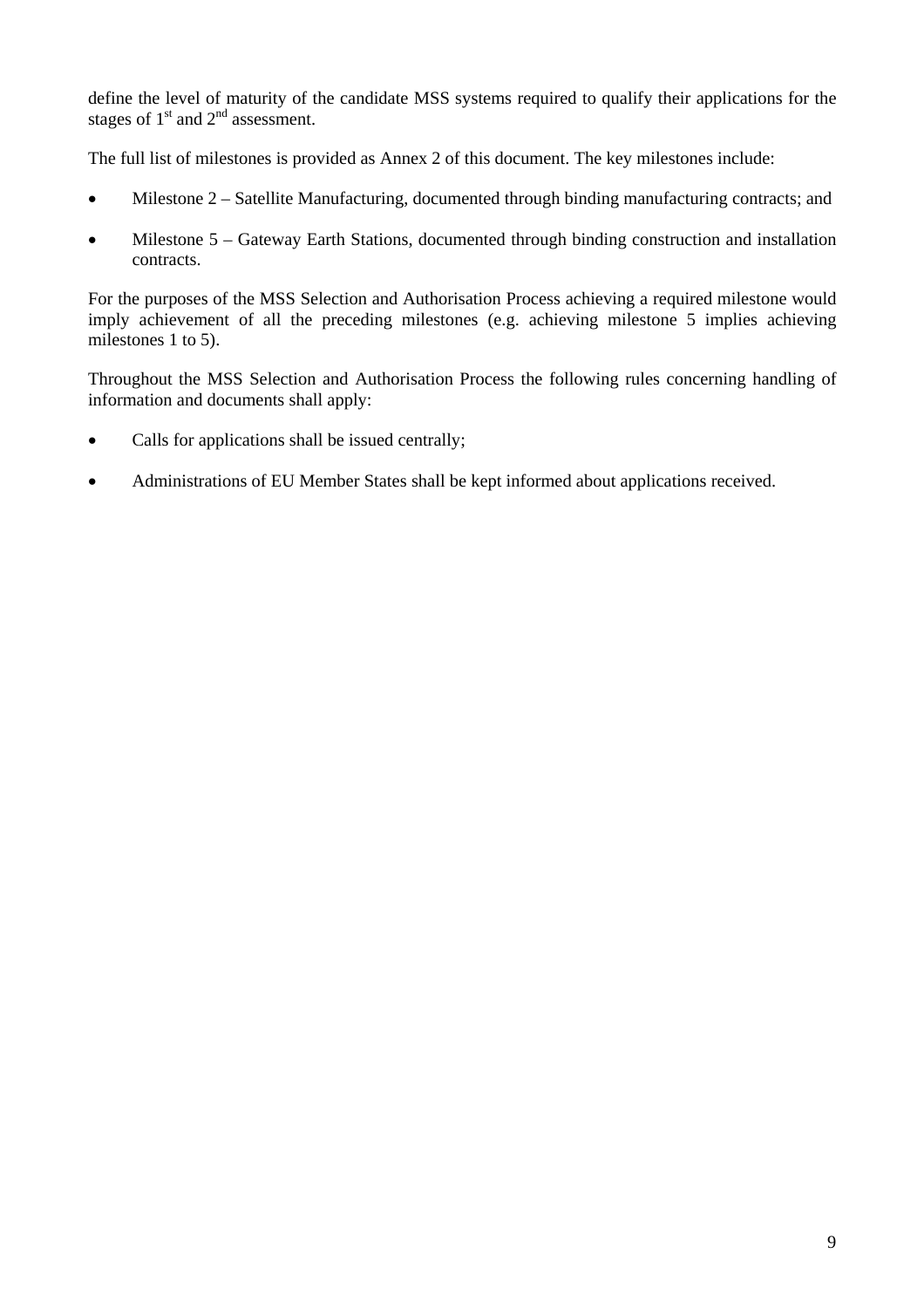define the level of maturity of the candidate MSS systems required to qualify their applications for the stages of  $1<sup>st</sup>$  and  $2<sup>nd</sup>$  assessment.

The full list of milestones is provided as Annex 2 of this document. The key milestones include:

- Milestone 2 Satellite Manufacturing, documented through binding manufacturing contracts; and
- Milestone 5 Gateway Earth Stations, documented through binding construction and installation contracts.

For the purposes of the MSS Selection and Authorisation Process achieving a required milestone would imply achievement of all the preceding milestones (e.g. achieving milestone 5 implies achieving milestones 1 to 5).

Throughout the MSS Selection and Authorisation Process the following rules concerning handling of information and documents shall apply:

- Calls for applications shall be issued centrally;
- Administrations of EU Member States shall be kept informed about applications received.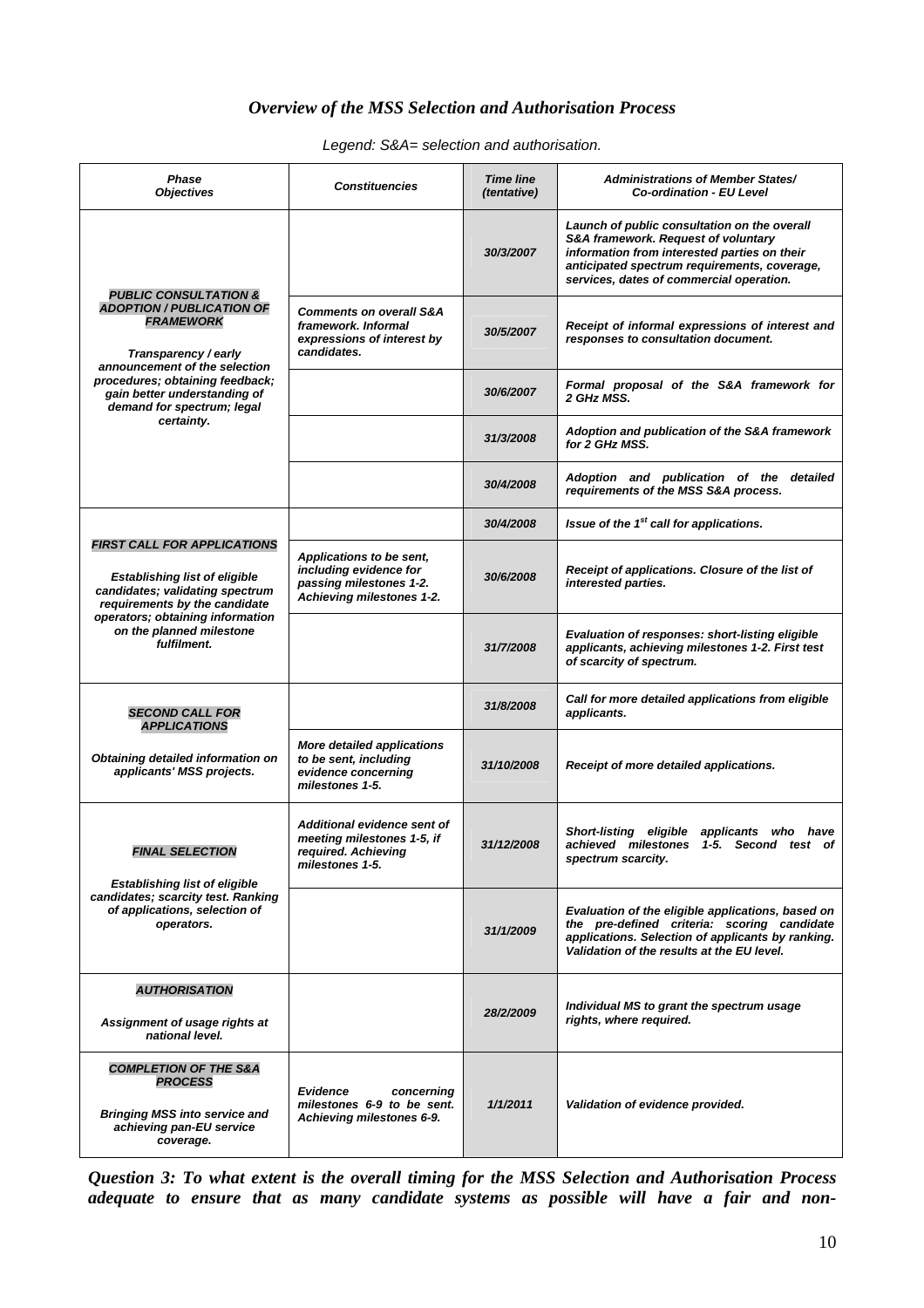## *Overview of the MSS Selection and Authorisation Process*

*Legend: S&A= selection and authorisation.* 

| <b>Phase</b><br><b>Objectives</b>                                                                                                                 | <b>Constituencies</b>                                                                                      | <b>Time line</b><br><i>(tentative)</i> | <b>Administrations of Member States/</b><br><b>Co-ordination - EU Level</b>                                                                                                                                                     |
|---------------------------------------------------------------------------------------------------------------------------------------------------|------------------------------------------------------------------------------------------------------------|----------------------------------------|---------------------------------------------------------------------------------------------------------------------------------------------------------------------------------------------------------------------------------|
|                                                                                                                                                   |                                                                                                            | 30/3/2007                              | Launch of public consultation on the overall<br>S&A framework. Request of voluntary<br>information from interested parties on their<br>anticipated spectrum requirements, coverage,<br>services, dates of commercial operation. |
| <b>PUBLIC CONSULTATION &amp;</b><br><b>ADOPTION / PUBLICATION OF</b><br><b>FRAMEWORK</b><br>Transparency / early<br>announcement of the selection | <b>Comments on overall S&amp;A</b><br>framework. Informal<br>expressions of interest by<br>candidates.     | 30/5/2007                              | Receipt of informal expressions of interest and<br>responses to consultation document.                                                                                                                                          |
| procedures; obtaining feedback;<br>gain better understanding of<br>demand for spectrum; legal                                                     |                                                                                                            | 30/6/2007                              | Formal proposal of the S&A framework for<br>2 GHz MSS.                                                                                                                                                                          |
| certainty.                                                                                                                                        |                                                                                                            | 31/3/2008                              | Adoption and publication of the S&A framework<br>for 2 GHz MSS.                                                                                                                                                                 |
|                                                                                                                                                   |                                                                                                            | 30/4/2008                              | Adoption and publication of the detailed<br>requirements of the MSS S&A process.                                                                                                                                                |
|                                                                                                                                                   |                                                                                                            | 30/4/2008                              | Issue of the 1 <sup>st</sup> call for applications.                                                                                                                                                                             |
| <b>FIRST CALL FOR APPLICATIONS</b><br><b>Establishing list of eligible</b><br>candidates; validating spectrum<br>requirements by the candidate    | Applications to be sent,<br>including evidence for<br>passing milestones 1-2.<br>Achieving milestones 1-2. | 30/6/2008                              | Receipt of applications. Closure of the list of<br>interested parties.                                                                                                                                                          |
| operators; obtaining information<br>on the planned milestone<br>fulfilment.                                                                       |                                                                                                            | 31/7/2008                              | Evaluation of responses: short-listing eligible<br>applicants, achieving milestones 1-2. First test<br>of scarcity of spectrum.                                                                                                 |
| <b>SECOND CALL FOR</b><br><b>APPLICATIONS</b>                                                                                                     |                                                                                                            | 31/8/2008                              | Call for more detailed applications from eligible<br>applicants.                                                                                                                                                                |
| Obtaining detailed information on<br>applicants' MSS projects.                                                                                    | <b>More detailed applications</b><br>to be sent, including<br>evidence concerning<br>milestones 1-5.       | 31/10/2008                             | Receipt of more detailed applications.                                                                                                                                                                                          |
| <b>FINAL SELECTION</b><br><b>Establishing list of eligible</b>                                                                                    | Additional evidence sent of<br>meeting milestones 1-5, if<br>required. Achieving<br>milestones 1-5.        | 31/12/2008                             | <b>Short-listing eligible</b><br>applicants who have<br>achieved milestones 1-5. Second test of<br>spectrum scarcity.                                                                                                           |
| candidates; scarcity test. Ranking<br>of applications, selection of<br>operators.                                                                 |                                                                                                            | 31/1/2009                              | Evaluation of the eligible applications, based on<br>the pre-defined criteria: scoring candidate<br>applications. Selection of applicants by ranking.<br>Validation of the results at the EU level.                             |
| <b>AUTHORISATION</b>                                                                                                                              |                                                                                                            |                                        |                                                                                                                                                                                                                                 |
| Assignment of usage rights at<br>national level.                                                                                                  |                                                                                                            | 28/2/2009                              | Individual MS to grant the spectrum usage<br>rights, where required.                                                                                                                                                            |
| <b>COMPLETION OF THE S&amp;A</b><br><b>PROCESS</b><br><b>Bringing MSS into service and</b><br>achieving pan-EU service<br>coverage.               | <b>Evidence</b><br>concerning<br>milestones 6-9 to be sent.<br>Achieving milestones 6-9.                   | 1/1/2011                               | Validation of evidence provided.                                                                                                                                                                                                |

*Question 3: To what extent is the overall timing for the MSS Selection and Authorisation Process adequate to ensure that as many candidate systems as possible will have a fair and non-*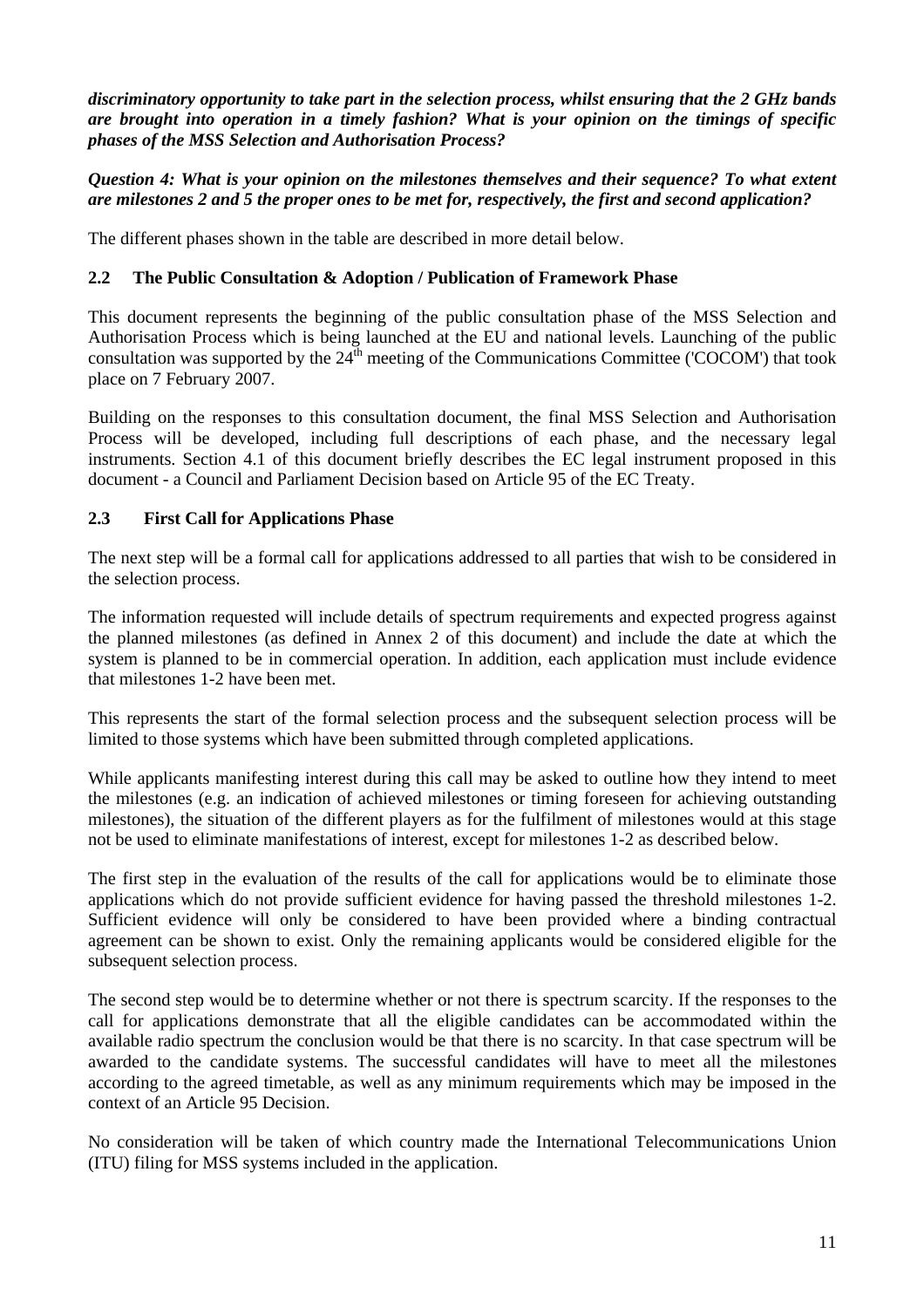*discriminatory opportunity to take part in the selection process, whilst ensuring that the 2 GHz bands are brought into operation in a timely fashion? What is your opinion on the timings of specific phases of the MSS Selection and Authorisation Process?* 

*Question 4: What is your opinion on the milestones themselves and their sequence? To what extent are milestones 2 and 5 the proper ones to be met for, respectively, the first and second application?*

<span id="page-10-0"></span>The different phases shown in the table are described in more detail below.

## **2.2 The Public Consultation & Adoption / Publication of Framework Phase**

This document represents the beginning of the public consultation phase of the MSS Selection and Authorisation Process which is being launched at the EU and national levels. Launching of the public consultation was supported by the  $24<sup>th</sup>$  meeting of the Communications Committee ('COCOM') that took place on 7 February 2007.

Building on the responses to this consultation document, the final MSS Selection and Authorisation Process will be developed, including full descriptions of each phase, and the necessary legal instruments. Section 4.1 of this document briefly describes the EC legal instrument proposed in this document - a Council and Parliament Decision based on Article 95 of the EC Treaty.

## <span id="page-10-1"></span>**2.3 First Call for Applications Phase**

The next step will be a formal call for applications addressed to all parties that wish to be considered in the selection process.

The information requested will include details of spectrum requirements and expected progress against the planned milestones (as defined in Annex 2 of this document) and include the date at which the system is planned to be in commercial operation. In addition, each application must include evidence that milestones 1-2 have been met.

This represents the start of the formal selection process and the subsequent selection process will be limited to those systems which have been submitted through completed applications.

While applicants manifesting interest during this call may be asked to outline how they intend to meet the milestones (e.g. an indication of achieved milestones or timing foreseen for achieving outstanding milestones), the situation of the different players as for the fulfilment of milestones would at this stage not be used to eliminate manifestations of interest, except for milestones 1-2 as described below.

The first step in the evaluation of the results of the call for applications would be to eliminate those applications which do not provide sufficient evidence for having passed the threshold milestones 1-2. Sufficient evidence will only be considered to have been provided where a binding contractual agreement can be shown to exist. Only the remaining applicants would be considered eligible for the subsequent selection process.

The second step would be to determine whether or not there is spectrum scarcity. If the responses to the call for applications demonstrate that all the eligible candidates can be accommodated within the available radio spectrum the conclusion would be that there is no scarcity. In that case spectrum will be awarded to the candidate systems. The successful candidates will have to meet all the milestones according to the agreed timetable, as well as any minimum requirements which may be imposed in the context of an Article 95 Decision.

No consideration will be taken of which country made the International Telecommunications Union (ITU) filing for MSS systems included in the application.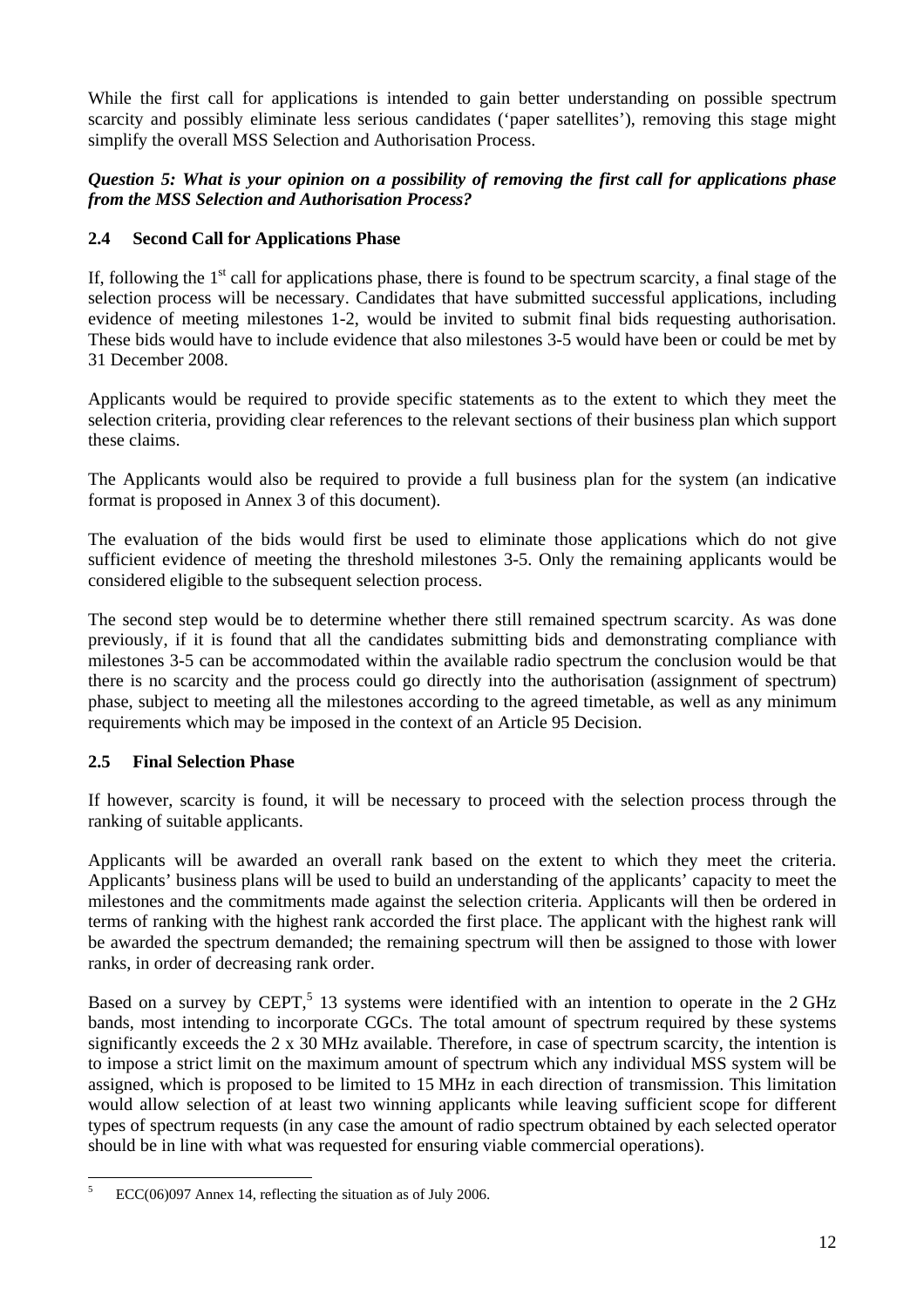While the first call for applications is intended to gain better understanding on possible spectrum scarcity and possibly eliminate less serious candidates ('paper satellites'), removing this stage might simplify the overall MSS Selection and Authorisation Process.

## *Question 5: What is your opinion on a possibility of removing the first call for applications phase from the MSS Selection and Authorisation Process?*

## <span id="page-11-0"></span>**2.4 Second Call for Applications Phase**

If, following the  $1<sup>st</sup>$  call for applications phase, there is found to be spectrum scarcity, a final stage of the selection process will be necessary. Candidates that have submitted successful applications, including evidence of meeting milestones 1-2, would be invited to submit final bids requesting authorisation. These bids would have to include evidence that also milestones 3-5 would have been or could be met by 31 December 2008.

Applicants would be required to provide specific statements as to the extent to which they meet the selection criteria, providing clear references to the relevant sections of their business plan which support these claims.

The Applicants would also be required to provide a full business plan for the system (an indicative format is proposed in Annex 3 of this document).

The evaluation of the bids would first be used to eliminate those applications which do not give sufficient evidence of meeting the threshold milestones 3-5. Only the remaining applicants would be considered eligible to the subsequent selection process.

The second step would be to determine whether there still remained spectrum scarcity. As was done previously, if it is found that all the candidates submitting bids and demonstrating compliance with milestones 3-5 can be accommodated within the available radio spectrum the conclusion would be that there is no scarcity and the process could go directly into the authorisation (assignment of spectrum) phase, subject to meeting all the milestones according to the agreed timetable, as well as any minimum requirements which may be imposed in the context of an Article 95 Decision.

## <span id="page-11-1"></span>**2.5 Final Selection Phase**

If however, scarcity is found, it will be necessary to proceed with the selection process through the ranking of suitable applicants.

Applicants will be awarded an overall rank based on the extent to which they meet the criteria. Applicants' business plans will be used to build an understanding of the applicants' capacity to meet the milestones and the commitments made against the selection criteria. Applicants will then be ordered in terms of ranking with the highest rank accorded the first place. The applicant with the highest rank will be awarded the spectrum demanded; the remaining spectrum will then be assigned to those with lower ranks, in order of decreasing rank order.

Based on a survey by CEPT,<sup>5</sup> 13 systems were identified with an intention to operate in the  $2 \text{ GHz}$ bands, most intending to incorporate CGCs. The total amount of spectrum required by these systems significantly exceeds the 2 x 30 MHz available. Therefore, in case of spectrum scarcity, the intention is to impose a strict limit on the maximum amount of spectrum which any individual MSS system will be assigned, which is proposed to be limited to 15 MHz in each direction of transmission. This limitation would allow selection of at least two winning applicants while leaving sufficient scope for different types of spectrum requests (in any case the amount of radio spectrum obtained by each selected operator should be in line with what was requested for ensuring viable commercial operations).

 5 ECC(06)097 Annex 14, reflecting the situation as of July 2006.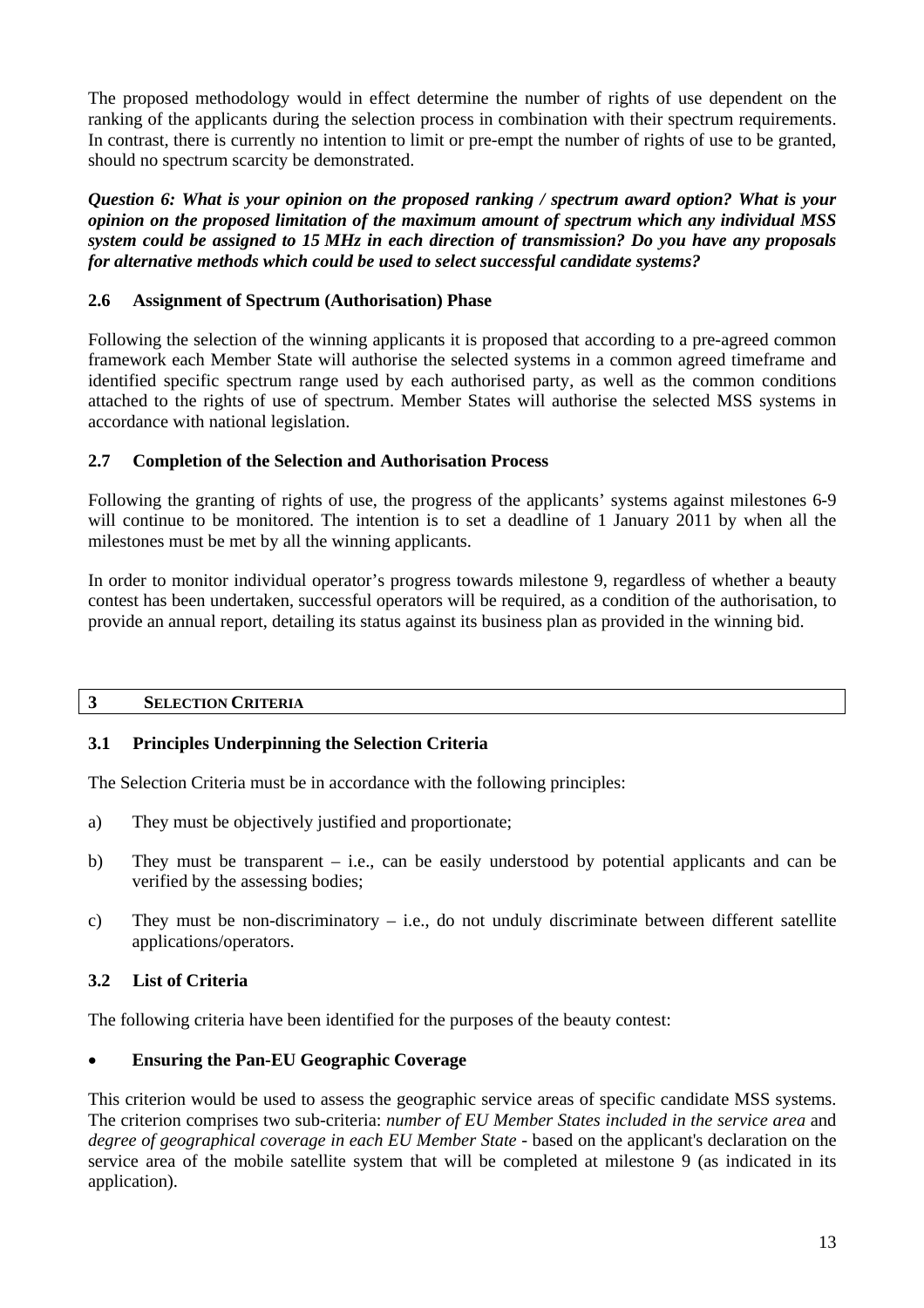The proposed methodology would in effect determine the number of rights of use dependent on the ranking of the applicants during the selection process in combination with their spectrum requirements. In contrast, there is currently no intention to limit or pre-empt the number of rights of use to be granted, should no spectrum scarcity be demonstrated.

*Question 6: What is your opinion on the proposed ranking / spectrum award option? What is your opinion on the proposed limitation of the maximum amount of spectrum which any individual MSS system could be assigned to 15 MHz in each direction of transmission? Do you have any proposals for alternative methods which could be used to select successful candidate systems?*

## <span id="page-12-0"></span>**2.6 Assignment of Spectrum (Authorisation) Phase**

Following the selection of the winning applicants it is proposed that according to a pre-agreed common framework each Member State will authorise the selected systems in a common agreed timeframe and identified specific spectrum range used by each authorised party, as well as the common conditions attached to the rights of use of spectrum. Member States will authorise the selected MSS systems in accordance with national legislation.

## <span id="page-12-1"></span>**2.7 Completion of the Selection and Authorisation Process**

Following the granting of rights of use, the progress of the applicants' systems against milestones 6-9 will continue to be monitored. The intention is to set a deadline of 1 January 2011 by when all the milestones must be met by all the winning applicants.

In order to monitor individual operator's progress towards milestone 9, regardless of whether a beauty contest has been undertaken, successful operators will be required, as a condition of the authorisation, to provide an annual report, detailing its status against its business plan as provided in the winning bid.

## <span id="page-12-2"></span>**3 SELECTION CRITERIA**

## <span id="page-12-3"></span>**3.1 Principles Underpinning the Selection Criteria**

The Selection Criteria must be in accordance with the following principles:

- a) They must be objectively justified and proportionate;
- b) They must be transparent i.e., can be easily understood by potential applicants and can be verified by the assessing bodies;
- c) They must be non-discriminatory i.e., do not unduly discriminate between different satellite applications/operators.

## <span id="page-12-4"></span>**3.2 List of Criteria**

The following criteria have been identified for the purposes of the beauty contest:

## • **Ensuring the Pan-EU Geographic Coverage**

This criterion would be used to assess the geographic service areas of specific candidate MSS systems. The criterion comprises two sub-criteria: *number of EU Member States included in the service area* and *degree of geographical coverage in each EU Member State* - based on the applicant's declaration on the service area of the mobile satellite system that will be completed at milestone 9 (as indicated in its application).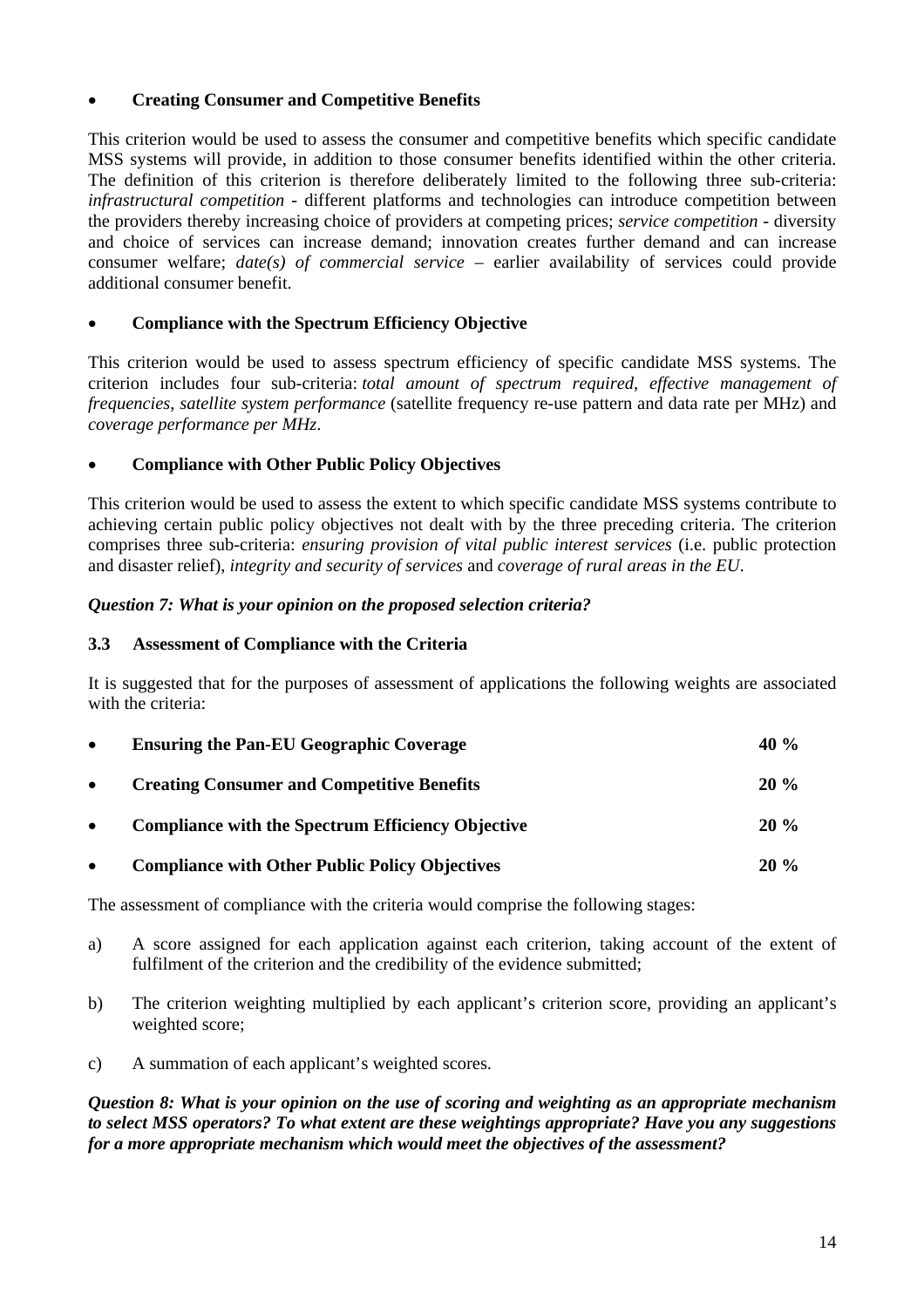## • **Creating Consumer and Competitive Benefits**

This criterion would be used to assess the consumer and competitive benefits which specific candidate MSS systems will provide, in addition to those consumer benefits identified within the other criteria. The definition of this criterion is therefore deliberately limited to the following three sub-criteria: *infrastructural competition* - different platforms and technologies can introduce competition between the providers thereby increasing choice of providers at competing prices; *service competition* - diversity and choice of services can increase demand; innovation creates further demand and can increase consumer welfare; *date(s) of commercial service –* earlier availability of services could provide additional consumer benefit.

## • **Compliance with the Spectrum Efficiency Objective**

This criterion would be used to assess spectrum efficiency of specific candidate MSS systems. The criterion includes four sub-criteria: *total amount of spectrum required*, *effective management of frequencies*, *satellite system performance* (satellite frequency re-use pattern and data rate per MHz) and *coverage performance per MHz*.

## • **Compliance with Other Public Policy Objectives**

This criterion would be used to assess the extent to which specific candidate MSS systems contribute to achieving certain public policy objectives not dealt with by the three preceding criteria. The criterion comprises three sub-criteria: *ensuring provision of vital public interest services* (i.e. public protection and disaster relief), *integrity and security of services* and *coverage of rural areas in the EU*.

#### <span id="page-13-0"></span>*Question 7: What is your opinion on the proposed selection criteria?*

#### **3.3 Assessment of Compliance with the Criteria**

It is suggested that for the purposes of assessment of applications the following weights are associated with the criteria:

| $\bullet$ | <b>Ensuring the Pan-EU Geographic Coverage</b>           | 40 $\%$ |  |
|-----------|----------------------------------------------------------|---------|--|
| $\bullet$ | <b>Creating Consumer and Competitive Benefits</b>        | $20\%$  |  |
| $\bullet$ | <b>Compliance with the Spectrum Efficiency Objective</b> | $20\%$  |  |
| $\bullet$ | <b>Compliance with Other Public Policy Objectives</b>    | $20\%$  |  |

The assessment of compliance with the criteria would comprise the following stages:

- a) A score assigned for each application against each criterion, taking account of the extent of fulfilment of the criterion and the credibility of the evidence submitted;
- b) The criterion weighting multiplied by each applicant's criterion score, providing an applicant's weighted score;
- c) A summation of each applicant's weighted scores.

*Question 8: What is your opinion on the use of scoring and weighting as an appropriate mechanism to select MSS operators? To what extent are these weightings appropriate? Have you any suggestions for a more appropriate mechanism which would meet the objectives of the assessment?*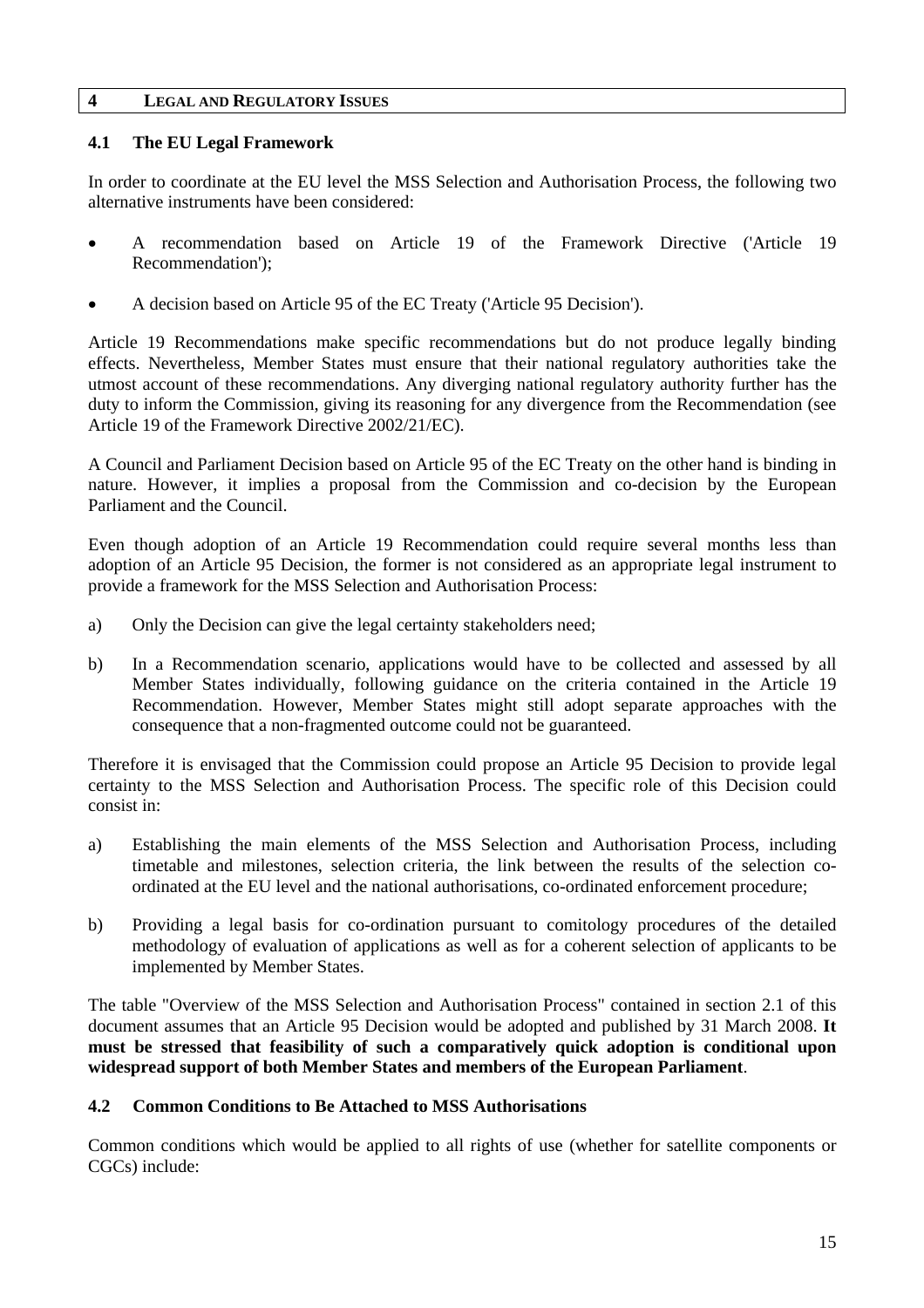#### <span id="page-14-1"></span><span id="page-14-0"></span>**4 LEGAL AND REGULATORY ISSUES**

## **4.1 The EU Legal Framework**

In order to coordinate at the EU level the MSS Selection and Authorisation Process, the following two alternative instruments have been considered:

- A recommendation based on Article 19 of the Framework Directive ('Article 19 Recommendation');
- A decision based on Article 95 of the EC Treaty ('Article 95 Decision').

Article 19 Recommendations make specific recommendations but do not produce legally binding effects. Nevertheless, Member States must ensure that their national regulatory authorities take the utmost account of these recommendations. Any diverging national regulatory authority further has the duty to inform the Commission, giving its reasoning for any divergence from the Recommendation (see Article 19 of the Framework Directive 2002/21/EC).

A Council and Parliament Decision based on Article 95 of the EC Treaty on the other hand is binding in nature. However, it implies a proposal from the Commission and co-decision by the European Parliament and the Council.

Even though adoption of an Article 19 Recommendation could require several months less than adoption of an Article 95 Decision, the former is not considered as an appropriate legal instrument to provide a framework for the MSS Selection and Authorisation Process:

- a) Only the Decision can give the legal certainty stakeholders need;
- b) In a Recommendation scenario, applications would have to be collected and assessed by all Member States individually, following guidance on the criteria contained in the Article 19 Recommendation. However, Member States might still adopt separate approaches with the consequence that a non-fragmented outcome could not be guaranteed.

Therefore it is envisaged that the Commission could propose an Article 95 Decision to provide legal certainty to the MSS Selection and Authorisation Process. The specific role of this Decision could consist in:

- a) Establishing the main elements of the MSS Selection and Authorisation Process, including timetable and milestones, selection criteria, the link between the results of the selection coordinated at the EU level and the national authorisations, co-ordinated enforcement procedure;
- b) Providing a legal basis for co-ordination pursuant to comitology procedures of the detailed methodology of evaluation of applications as well as for a coherent selection of applicants to be implemented by Member States.

The table "Overview of the MSS Selection and Authorisation Process" contained in section 2.1 of this document assumes that an Article 95 Decision would be adopted and published by 31 March 2008. **It must be stressed that feasibility of such a comparatively quick adoption is conditional upon widespread support of both Member States and members of the European Parliament**.

#### <span id="page-14-2"></span>**4.2 Common Conditions to Be Attached to MSS Authorisations**

Common conditions which would be applied to all rights of use (whether for satellite components or CGCs) include: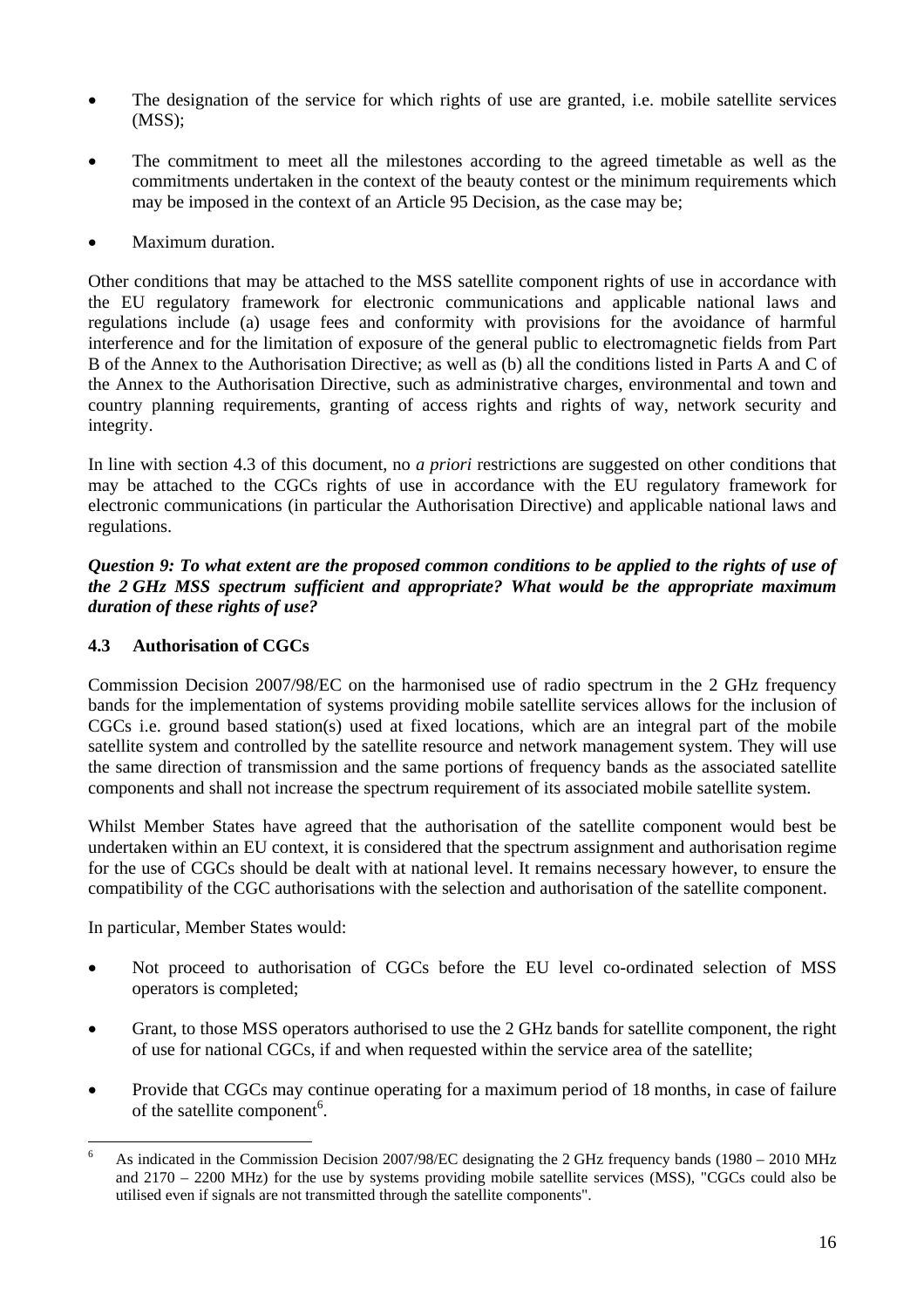- The designation of the service for which rights of use are granted, i.e. mobile satellite services (MSS);
- The commitment to meet all the milestones according to the agreed timetable as well as the commitments undertaken in the context of the beauty contest or the minimum requirements which may be imposed in the context of an Article 95 Decision, as the case may be;
- Maximum duration.

Other conditions that may be attached to the MSS satellite component rights of use in accordance with the EU regulatory framework for electronic communications and applicable national laws and regulations include (a) usage fees and conformity with provisions for the avoidance of harmful interference and for the limitation of exposure of the general public to electromagnetic fields from Part B of the Annex to the Authorisation Directive; as well as (b) all the conditions listed in Parts A and C of the Annex to the Authorisation Directive, such as administrative charges, environmental and town and country planning requirements, granting of access rights and rights of way, network security and integrity.

In line with section 4.3 of this document, no *a priori* restrictions are suggested on other conditions that may be attached to the CGCs rights of use in accordance with the EU regulatory framework for electronic communications (in particular the Authorisation Directive) and applicable national laws and regulations.

*Question 9: To what extent are the proposed common conditions to be applied to the rights of use of the 2 GHz MSS spectrum sufficient and appropriate? What would be the appropriate maximum duration of these rights of use?* 

## <span id="page-15-0"></span>**4.3 Authorisation of CGCs**

Commission Decision 2007/98/EC on the harmonised use of radio spectrum in the 2 GHz frequency bands for the implementation of systems providing mobile satellite services allows for the inclusion of CGCs i.e. ground based station(s) used at fixed locations, which are an integral part of the mobile satellite system and controlled by the satellite resource and network management system. They will use the same direction of transmission and the same portions of frequency bands as the associated satellite components and shall not increase the spectrum requirement of its associated mobile satellite system.

Whilst Member States have agreed that the authorisation of the satellite component would best be undertaken within an EU context, it is considered that the spectrum assignment and authorisation regime for the use of CGCs should be dealt with at national level. It remains necessary however, to ensure the compatibility of the CGC authorisations with the selection and authorisation of the satellite component.

In particular, Member States would:

- Not proceed to authorisation of CGCs before the EU level co-ordinated selection of MSS operators is completed;
- Grant, to those MSS operators authorised to use the 2 GHz bands for satellite component, the right of use for national CGCs, if and when requested within the service area of the satellite;
- Provide that CGCs may continue operating for a maximum period of 18 months, in case of failure of the satellite component<sup>6</sup>.

 $\frac{1}{6}$  As indicated in the Commission Decision 2007/98/EC designating the 2 GHz frequency bands (1980 – 2010 MHz and 2170 – 2200 MHz) for the use by systems providing mobile satellite services (MSS), "CGCs could also be utilised even if signals are not transmitted through the satellite components".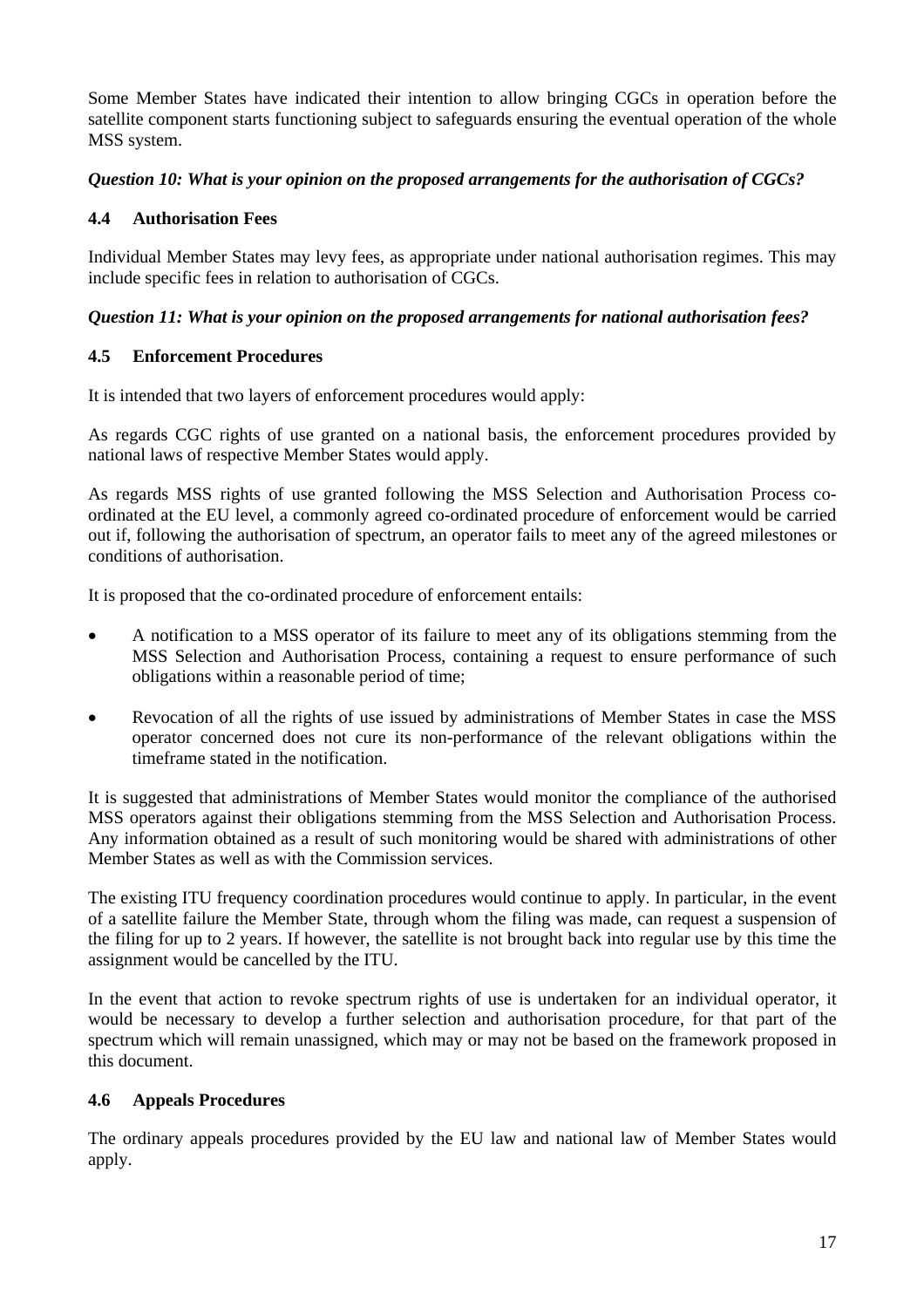Some Member States have indicated their intention to allow bringing CGCs in operation before the satellite component starts functioning subject to safeguards ensuring the eventual operation of the whole MSS system.

## *Question 10: What is your opinion on the proposed arrangements for the authorisation of CGCs?*

## <span id="page-16-0"></span>**4.4 Authorisation Fees**

Individual Member States may levy fees, as appropriate under national authorisation regimes. This may include specific fees in relation to authorisation of CGCs.

## *Question 11: What is your opinion on the proposed arrangements for national authorisation fees?*

## <span id="page-16-1"></span>**4.5 Enforcement Procedures**

It is intended that two layers of enforcement procedures would apply:

As regards CGC rights of use granted on a national basis, the enforcement procedures provided by national laws of respective Member States would apply.

As regards MSS rights of use granted following the MSS Selection and Authorisation Process coordinated at the EU level, a commonly agreed co-ordinated procedure of enforcement would be carried out if, following the authorisation of spectrum, an operator fails to meet any of the agreed milestones or conditions of authorisation.

It is proposed that the co-ordinated procedure of enforcement entails:

- A notification to a MSS operator of its failure to meet any of its obligations stemming from the MSS Selection and Authorisation Process, containing a request to ensure performance of such obligations within a reasonable period of time;
- Revocation of all the rights of use issued by administrations of Member States in case the MSS operator concerned does not cure its non-performance of the relevant obligations within the timeframe stated in the notification.

It is suggested that administrations of Member States would monitor the compliance of the authorised MSS operators against their obligations stemming from the MSS Selection and Authorisation Process. Any information obtained as a result of such monitoring would be shared with administrations of other Member States as well as with the Commission services.

The existing ITU frequency coordination procedures would continue to apply. In particular, in the event of a satellite failure the Member State, through whom the filing was made, can request a suspension of the filing for up to 2 years. If however, the satellite is not brought back into regular use by this time the assignment would be cancelled by the ITU.

In the event that action to revoke spectrum rights of use is undertaken for an individual operator, it would be necessary to develop a further selection and authorisation procedure, for that part of the spectrum which will remain unassigned, which may or may not be based on the framework proposed in this document.

## <span id="page-16-2"></span>**4.6 Appeals Procedures**

The ordinary appeals procedures provided by the EU law and national law of Member States would apply.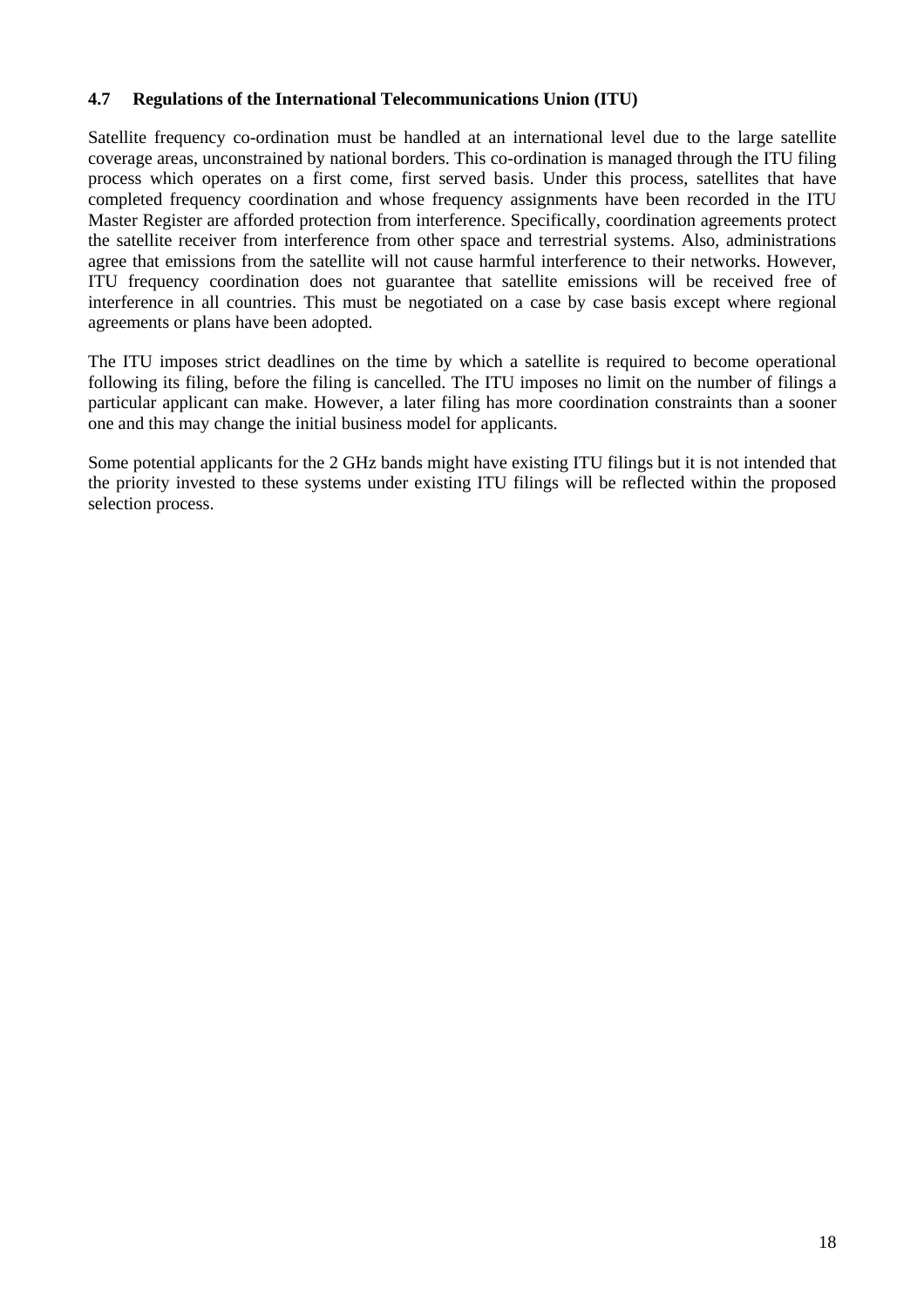#### <span id="page-17-0"></span>**4.7 Regulations of the International Telecommunications Union (ITU)**

Satellite frequency co-ordination must be handled at an international level due to the large satellite coverage areas, unconstrained by national borders. This co-ordination is managed through the ITU filing process which operates on a first come, first served basis. Under this process, satellites that have completed frequency coordination and whose frequency assignments have been recorded in the ITU Master Register are afforded protection from interference. Specifically, coordination agreements protect the satellite receiver from interference from other space and terrestrial systems. Also, administrations agree that emissions from the satellite will not cause harmful interference to their networks. However, ITU frequency coordination does not guarantee that satellite emissions will be received free of interference in all countries. This must be negotiated on a case by case basis except where regional agreements or plans have been adopted.

The ITU imposes strict deadlines on the time by which a satellite is required to become operational following its filing, before the filing is cancelled. The ITU imposes no limit on the number of filings a particular applicant can make. However, a later filing has more coordination constraints than a sooner one and this may change the initial business model for applicants.

Some potential applicants for the 2 GHz bands might have existing ITU filings but it is not intended that the priority invested to these systems under existing ITU filings will be reflected within the proposed selection process.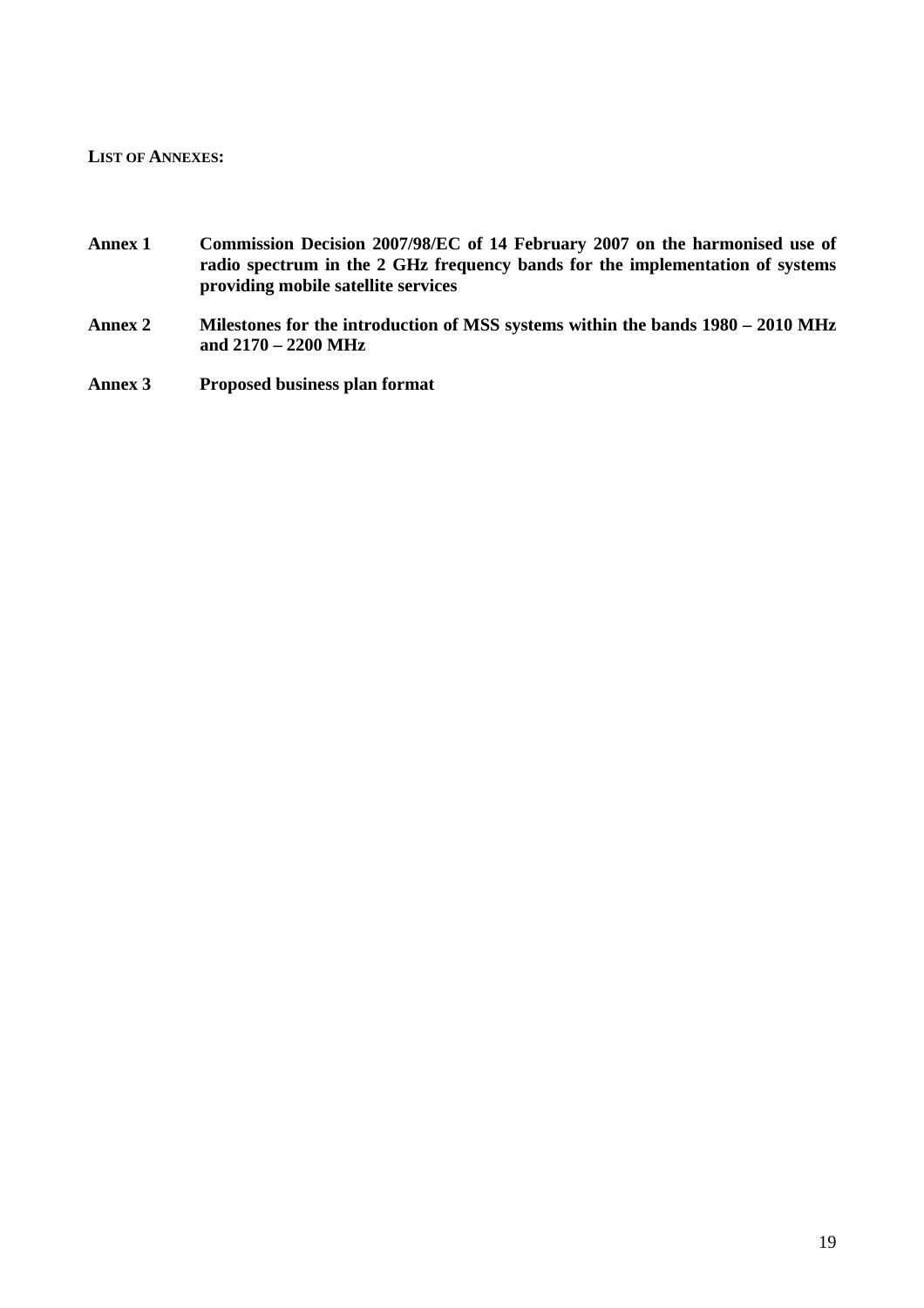#### <span id="page-18-0"></span>**LIST OF ANNEXES:**

- **Annex 1 Commission Decision 2007/98/EC of 14 February 2007 on the harmonised use of radio spectrum in the 2 GHz frequency bands for the implementation of systems providing mobile satellite services**
- **Annex 2 Milestones for the introduction of MSS systems within the bands 1980 2010 MHz and 2170 – 2200 MHz**
- **Annex 3 Proposed business plan format**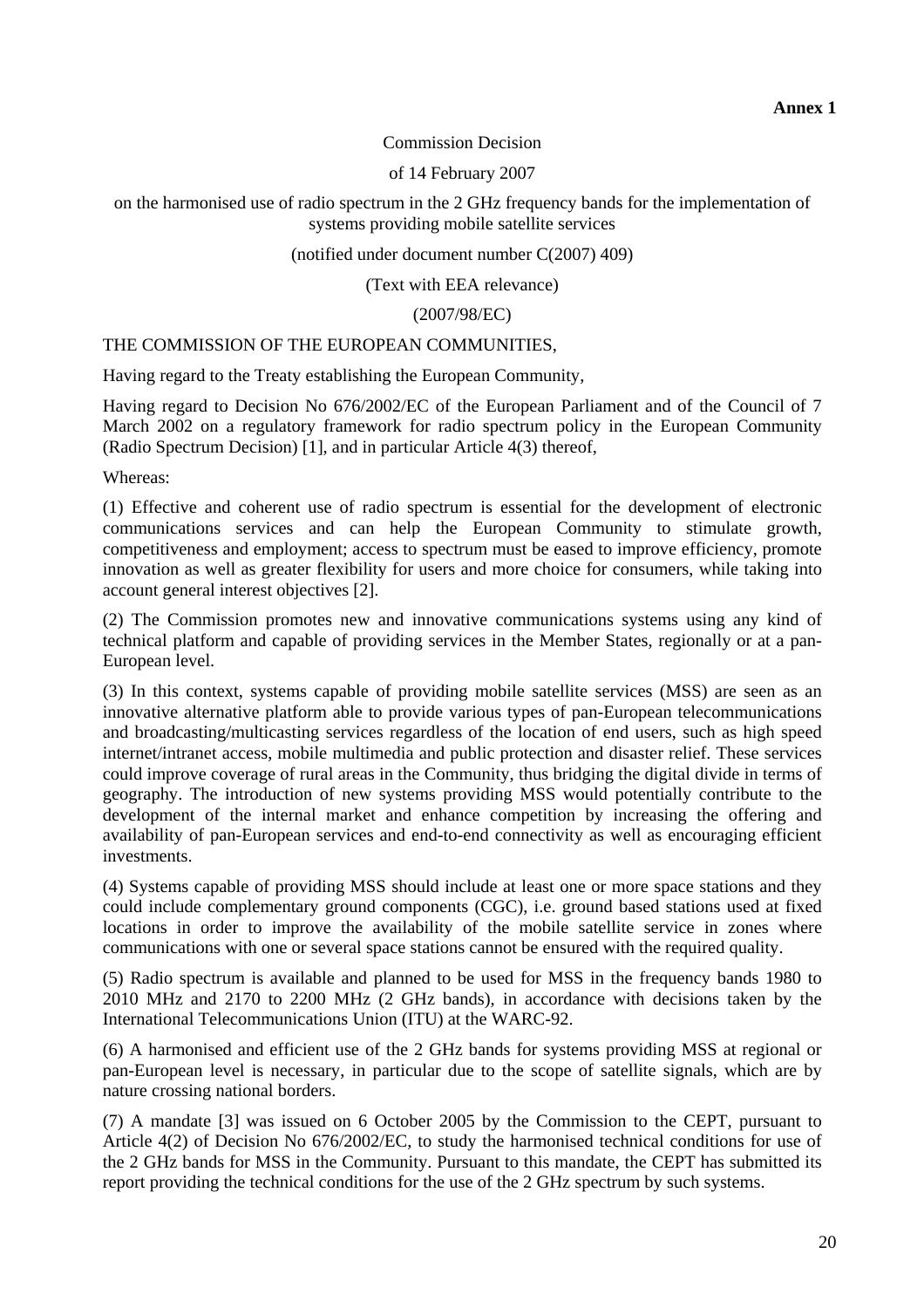#### Commission Decision

#### of 14 February 2007

on the harmonised use of radio spectrum in the 2 GHz frequency bands for the implementation of systems providing mobile satellite services

(notified under document number C(2007) 409)

(Text with EEA relevance)

(2007/98/EC)

#### THE COMMISSION OF THE EUROPEAN COMMUNITIES,

Having regard to the Treaty establishing the European Community,

Having regard to Decision No 676/2002/EC of the European Parliament and of the Council of 7 March 2002 on a regulatory framework for radio spectrum policy in the European Community (Radio Spectrum Decision) [1], and in particular Article 4(3) thereof,

Whereas:

(1) Effective and coherent use of radio spectrum is essential for the development of electronic communications services and can help the European Community to stimulate growth, competitiveness and employment; access to spectrum must be eased to improve efficiency, promote innovation as well as greater flexibility for users and more choice for consumers, while taking into account general interest objectives [2].

(2) The Commission promotes new and innovative communications systems using any kind of technical platform and capable of providing services in the Member States, regionally or at a pan-European level.

(3) In this context, systems capable of providing mobile satellite services (MSS) are seen as an innovative alternative platform able to provide various types of pan-European telecommunications and broadcasting/multicasting services regardless of the location of end users, such as high speed internet/intranet access, mobile multimedia and public protection and disaster relief. These services could improve coverage of rural areas in the Community, thus bridging the digital divide in terms of geography. The introduction of new systems providing MSS would potentially contribute to the development of the internal market and enhance competition by increasing the offering and availability of pan-European services and end-to-end connectivity as well as encouraging efficient investments.

(4) Systems capable of providing MSS should include at least one or more space stations and they could include complementary ground components (CGC), i.e. ground based stations used at fixed locations in order to improve the availability of the mobile satellite service in zones where communications with one or several space stations cannot be ensured with the required quality.

(5) Radio spectrum is available and planned to be used for MSS in the frequency bands 1980 to 2010 MHz and 2170 to 2200 MHz (2 GHz bands), in accordance with decisions taken by the International Telecommunications Union (ITU) at the WARC-92.

(6) A harmonised and efficient use of the 2 GHz bands for systems providing MSS at regional or pan-European level is necessary, in particular due to the scope of satellite signals, which are by nature crossing national borders.

(7) A mandate [3] was issued on 6 October 2005 by the Commission to the CEPT, pursuant to Article 4(2) of Decision No 676/2002/EC, to study the harmonised technical conditions for use of the 2 GHz bands for MSS in the Community. Pursuant to this mandate, the CEPT has submitted its report providing the technical conditions for the use of the 2 GHz spectrum by such systems.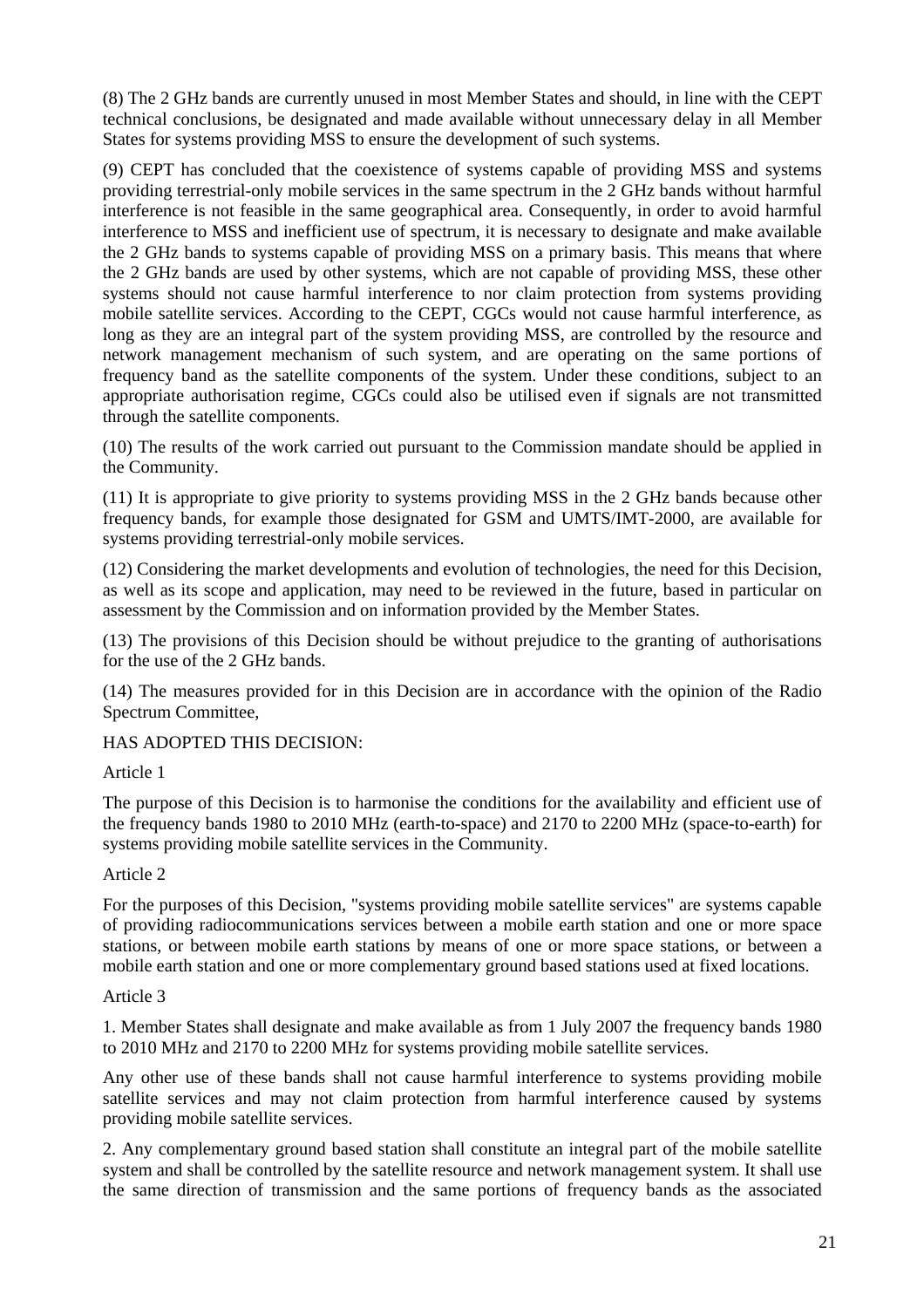(8) The 2 GHz bands are currently unused in most Member States and should, in line with the CEPT technical conclusions, be designated and made available without unnecessary delay in all Member States for systems providing MSS to ensure the development of such systems.

(9) CEPT has concluded that the coexistence of systems capable of providing MSS and systems providing terrestrial-only mobile services in the same spectrum in the 2 GHz bands without harmful interference is not feasible in the same geographical area. Consequently, in order to avoid harmful interference to MSS and inefficient use of spectrum, it is necessary to designate and make available the 2 GHz bands to systems capable of providing MSS on a primary basis. This means that where the 2 GHz bands are used by other systems, which are not capable of providing MSS, these other systems should not cause harmful interference to nor claim protection from systems providing mobile satellite services. According to the CEPT, CGCs would not cause harmful interference, as long as they are an integral part of the system providing MSS, are controlled by the resource and network management mechanism of such system, and are operating on the same portions of frequency band as the satellite components of the system. Under these conditions, subject to an appropriate authorisation regime, CGCs could also be utilised even if signals are not transmitted through the satellite components.

(10) The results of the work carried out pursuant to the Commission mandate should be applied in the Community.

(11) It is appropriate to give priority to systems providing MSS in the 2 GHz bands because other frequency bands, for example those designated for GSM and UMTS/IMT-2000, are available for systems providing terrestrial-only mobile services.

(12) Considering the market developments and evolution of technologies, the need for this Decision, as well as its scope and application, may need to be reviewed in the future, based in particular on assessment by the Commission and on information provided by the Member States.

(13) The provisions of this Decision should be without prejudice to the granting of authorisations for the use of the 2 GHz bands.

(14) The measures provided for in this Decision are in accordance with the opinion of the Radio Spectrum Committee,

HAS ADOPTED THIS DECISION:

#### Article 1

The purpose of this Decision is to harmonise the conditions for the availability and efficient use of the frequency bands 1980 to 2010 MHz (earth-to-space) and 2170 to 2200 MHz (space-to-earth) for systems providing mobile satellite services in the Community.

#### Article 2

For the purposes of this Decision, "systems providing mobile satellite services" are systems capable of providing radiocommunications services between a mobile earth station and one or more space stations, or between mobile earth stations by means of one or more space stations, or between a mobile earth station and one or more complementary ground based stations used at fixed locations.

#### Article 3

1. Member States shall designate and make available as from 1 July 2007 the frequency bands 1980 to 2010 MHz and 2170 to 2200 MHz for systems providing mobile satellite services.

Any other use of these bands shall not cause harmful interference to systems providing mobile satellite services and may not claim protection from harmful interference caused by systems providing mobile satellite services.

2. Any complementary ground based station shall constitute an integral part of the mobile satellite system and shall be controlled by the satellite resource and network management system. It shall use the same direction of transmission and the same portions of frequency bands as the associated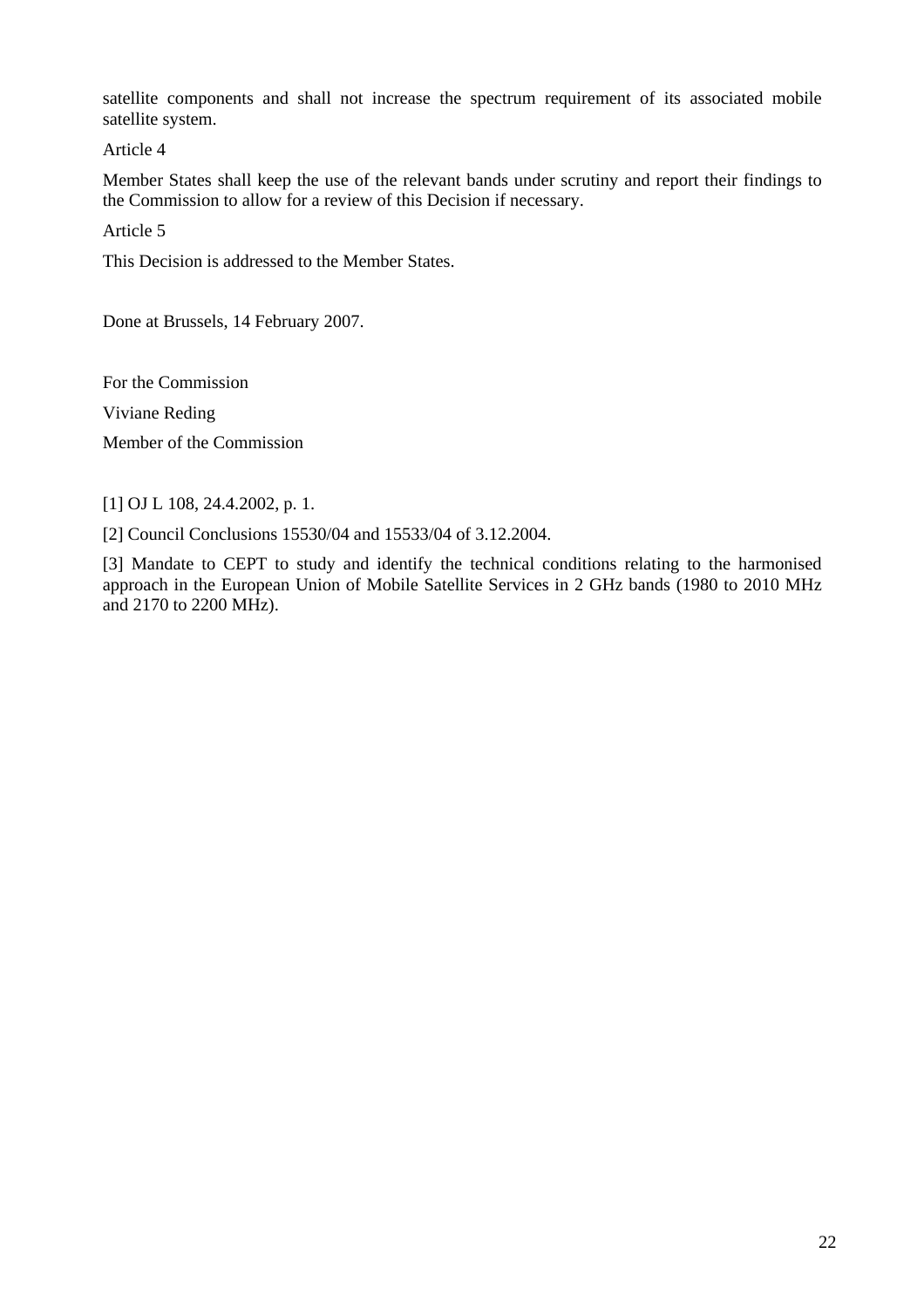satellite components and shall not increase the spectrum requirement of its associated mobile satellite system.

Article 4

Member States shall keep the use of the relevant bands under scrutiny and report their findings to the Commission to allow for a review of this Decision if necessary.

Article 5

This Decision is addressed to the Member States.

Done at Brussels, 14 February 2007.

For the Commission Viviane Reding Member of the Commission

[1] OJ L 108, 24.4.2002, p. 1.

[2] Council Conclusions 15530/04 and 15533/04 of 3.12.2004.

[3] Mandate to CEPT to study and identify the technical conditions relating to the harmonised approach in the European Union of Mobile Satellite Services in 2 GHz bands (1980 to 2010 MHz and 2170 to 2200 MHz).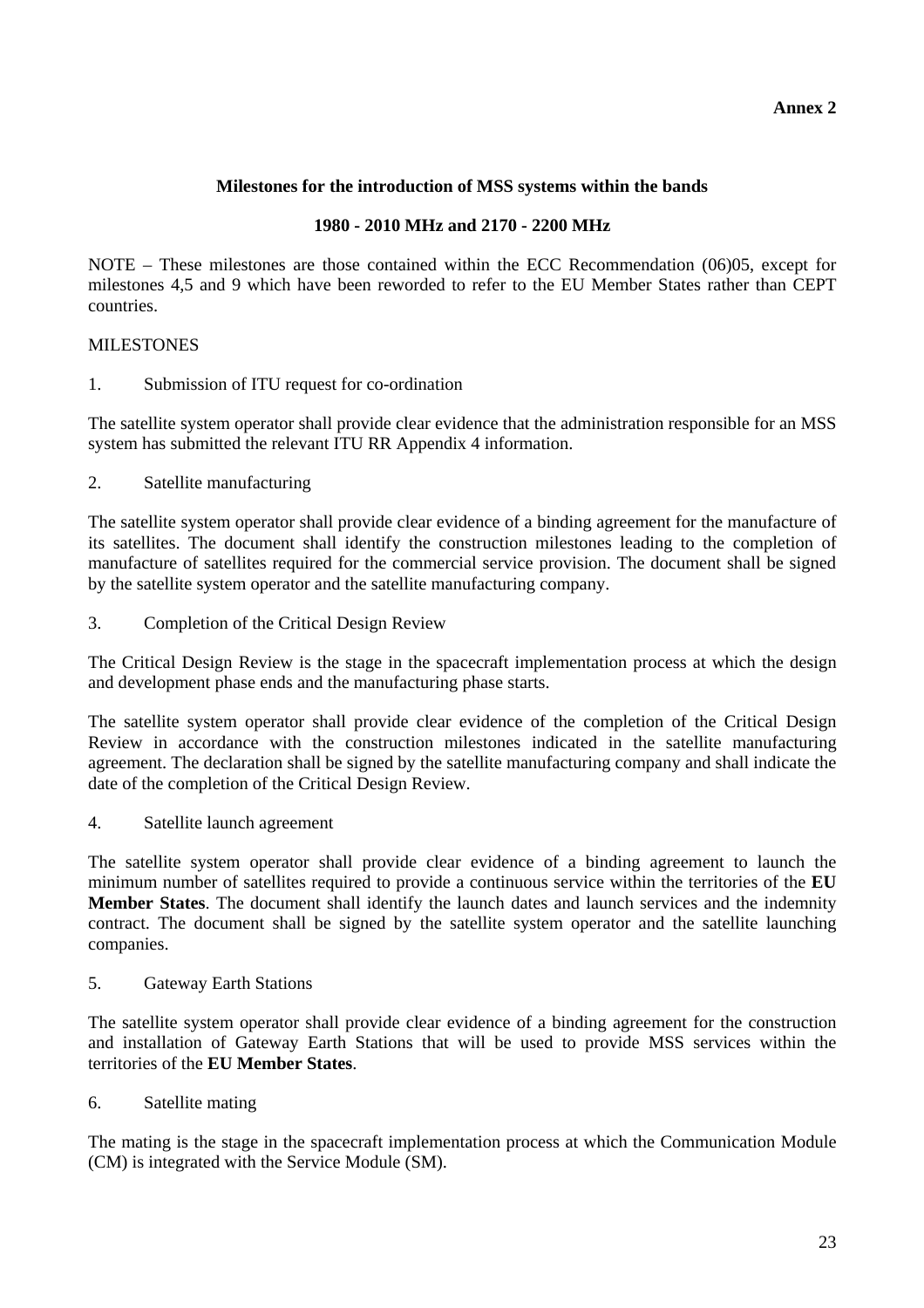## **Milestones for the introduction of MSS systems within the bands**

#### **1980 - 2010 MHz and 2170 - 2200 MHz**

NOTE – These milestones are those contained within the ECC Recommendation (06)05, except for milestones 4,5 and 9 which have been reworded to refer to the EU Member States rather than CEPT countries.

#### MILESTONES

1. Submission of ITU request for co-ordination

The satellite system operator shall provide clear evidence that the administration responsible for an MSS system has submitted the relevant ITU RR Appendix 4 information.

2. Satellite manufacturing

The satellite system operator shall provide clear evidence of a binding agreement for the manufacture of its satellites. The document shall identify the construction milestones leading to the completion of manufacture of satellites required for the commercial service provision. The document shall be signed by the satellite system operator and the satellite manufacturing company.

3. Completion of the Critical Design Review

The Critical Design Review is the stage in the spacecraft implementation process at which the design and development phase ends and the manufacturing phase starts.

The satellite system operator shall provide clear evidence of the completion of the Critical Design Review in accordance with the construction milestones indicated in the satellite manufacturing agreement. The declaration shall be signed by the satellite manufacturing company and shall indicate the date of the completion of the Critical Design Review.

4. Satellite launch agreement

The satellite system operator shall provide clear evidence of a binding agreement to launch the minimum number of satellites required to provide a continuous service within the territories of the **EU Member States**. The document shall identify the launch dates and launch services and the indemnity contract. The document shall be signed by the satellite system operator and the satellite launching companies.

5. Gateway Earth Stations

The satellite system operator shall provide clear evidence of a binding agreement for the construction and installation of Gateway Earth Stations that will be used to provide MSS services within the territories of the **EU Member States**.

6. Satellite mating

The mating is the stage in the spacecraft implementation process at which the Communication Module (CM) is integrated with the Service Module (SM).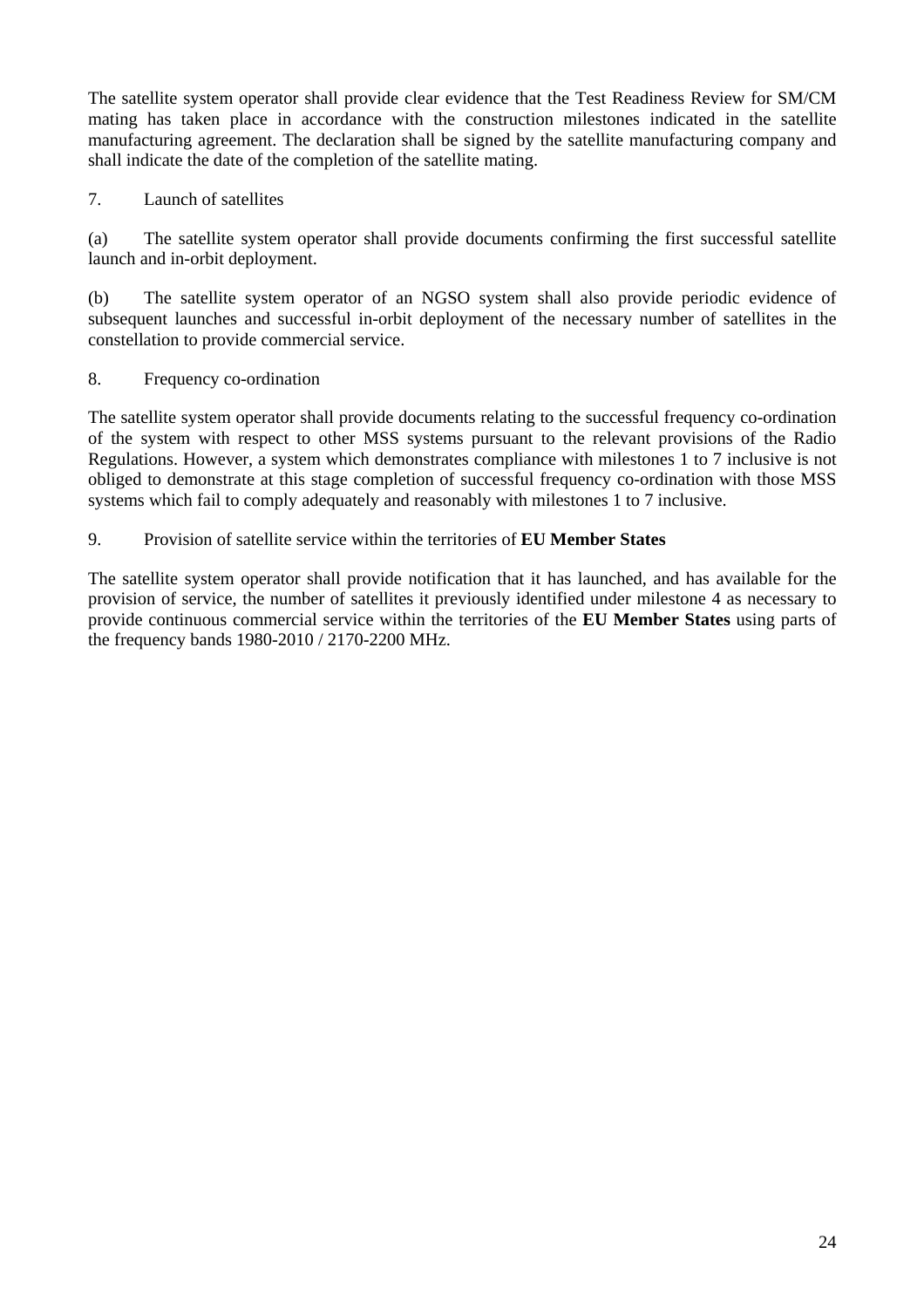The satellite system operator shall provide clear evidence that the Test Readiness Review for SM/CM mating has taken place in accordance with the construction milestones indicated in the satellite manufacturing agreement. The declaration shall be signed by the satellite manufacturing company and shall indicate the date of the completion of the satellite mating.

7. Launch of satellites

(a) The satellite system operator shall provide documents confirming the first successful satellite launch and in-orbit deployment.

(b) The satellite system operator of an NGSO system shall also provide periodic evidence of subsequent launches and successful in-orbit deployment of the necessary number of satellites in the constellation to provide commercial service.

## 8. Frequency co-ordination

The satellite system operator shall provide documents relating to the successful frequency co-ordination of the system with respect to other MSS systems pursuant to the relevant provisions of the Radio Regulations. However, a system which demonstrates compliance with milestones 1 to 7 inclusive is not obliged to demonstrate at this stage completion of successful frequency co-ordination with those MSS systems which fail to comply adequately and reasonably with milestones 1 to 7 inclusive.

## 9. Provision of satellite service within the territories of **EU Member States**

The satellite system operator shall provide notification that it has launched, and has available for the provision of service, the number of satellites it previously identified under milestone 4 as necessary to provide continuous commercial service within the territories of the **EU Member States** using parts of the frequency bands 1980-2010 / 2170-2200 MHz.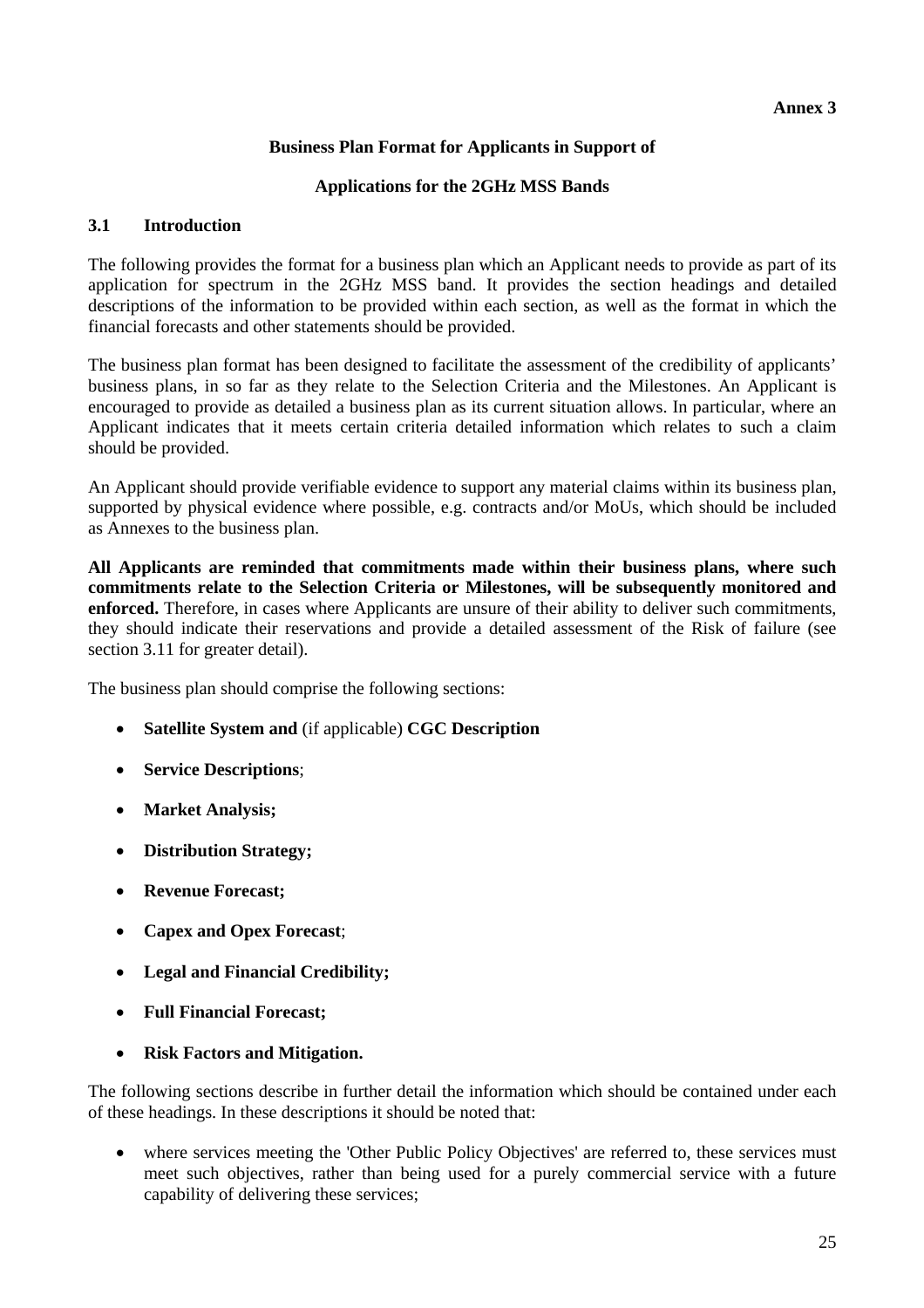## **Business Plan Format for Applicants in Support of**

#### **Applications for the 2GHz MSS Bands**

#### **3.1 Introduction**

The following provides the format for a business plan which an Applicant needs to provide as part of its application for spectrum in the 2GHz MSS band. It provides the section headings and detailed descriptions of the information to be provided within each section, as well as the format in which the financial forecasts and other statements should be provided.

The business plan format has been designed to facilitate the assessment of the credibility of applicants' business plans, in so far as they relate to the Selection Criteria and the Milestones. An Applicant is encouraged to provide as detailed a business plan as its current situation allows. In particular, where an Applicant indicates that it meets certain criteria detailed information which relates to such a claim should be provided.

An Applicant should provide verifiable evidence to support any material claims within its business plan, supported by physical evidence where possible, e.g. contracts and/or MoUs, which should be included as Annexes to the business plan.

**All Applicants are reminded that commitments made within their business plans, where such commitments relate to the Selection Criteria or Milestones, will be subsequently monitored and enforced.** Therefore, in cases where Applicants are unsure of their ability to deliver such commitments, they should indicate their reservations and provide a detailed assessment of the Risk of failure (see section 3.11 for greater detail).

The business plan should comprise the following sections:

- **Satellite System and** (if applicable) **CGC Description**
- **Service Descriptions**;
- **Market Analysis;**
- **Distribution Strategy;**
- **Revenue Forecast;**
- **Capex and Opex Forecast**;
- **Legal and Financial Credibility;**
- **Full Financial Forecast;**
- **Risk Factors and Mitigation.**

The following sections describe in further detail the information which should be contained under each of these headings. In these descriptions it should be noted that:

• where services meeting the 'Other Public Policy Objectives' are referred to, these services must meet such objectives, rather than being used for a purely commercial service with a future capability of delivering these services;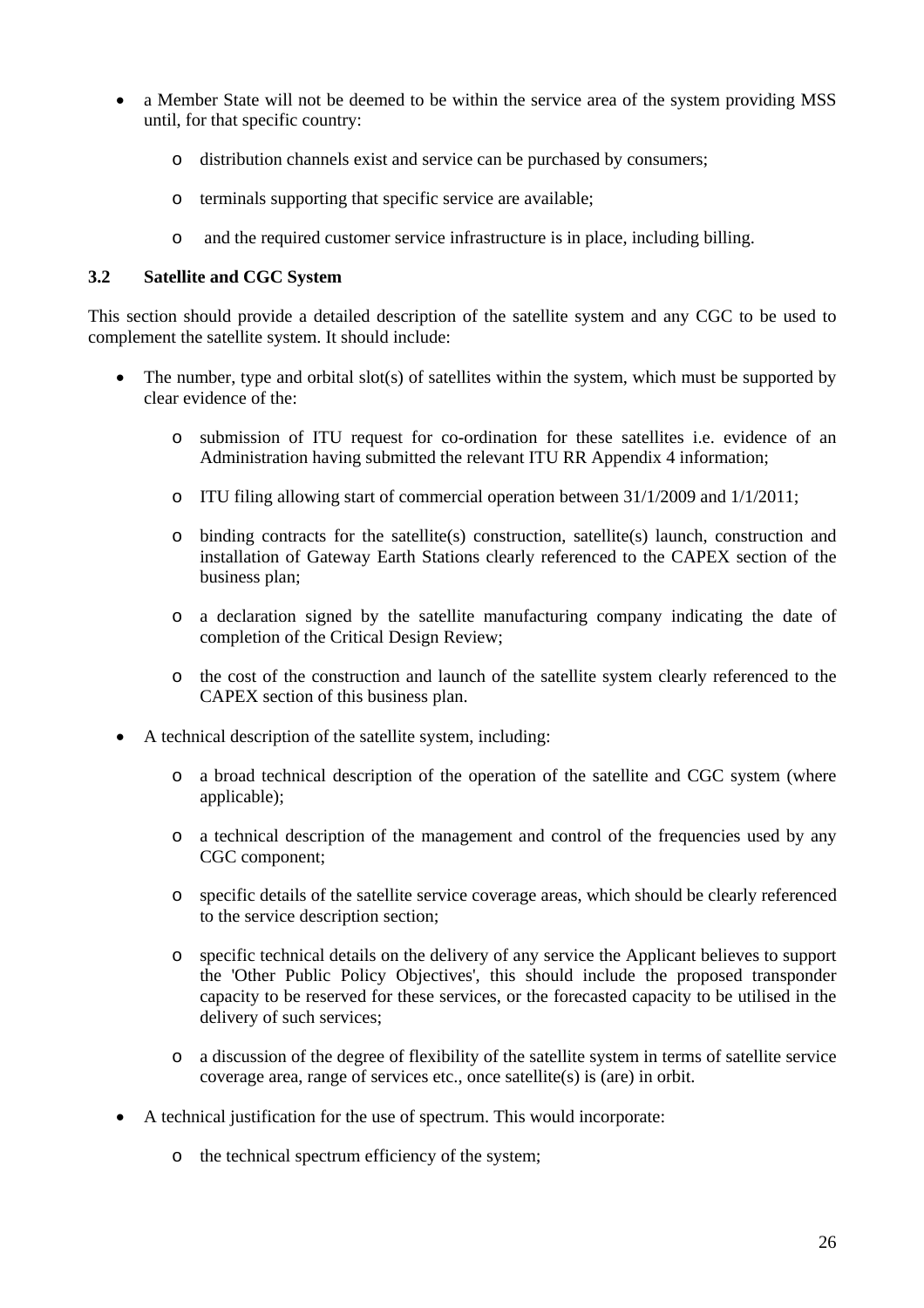- a Member State will not be deemed to be within the service area of the system providing MSS until, for that specific country:
	- o distribution channels exist and service can be purchased by consumers;
	- o terminals supporting that specific service are available;
	- o and the required customer service infrastructure is in place, including billing.

#### **3.2 Satellite and CGC System**

This section should provide a detailed description of the satellite system and any CGC to be used to complement the satellite system. It should include:

- The number, type and orbital slot(s) of satellites within the system, which must be supported by clear evidence of the:
	- o submission of ITU request for co-ordination for these satellites i.e. evidence of an Administration having submitted the relevant ITU RR Appendix 4 information;
	- o ITU filing allowing start of commercial operation between 31/1/2009 and 1/1/2011;
	- o binding contracts for the satellite(s) construction, satellite(s) launch, construction and installation of Gateway Earth Stations clearly referenced to the CAPEX section of the business plan;
	- o a declaration signed by the satellite manufacturing company indicating the date of completion of the Critical Design Review;
	- o the cost of the construction and launch of the satellite system clearly referenced to the CAPEX section of this business plan.
- A technical description of the satellite system, including:
	- o a broad technical description of the operation of the satellite and CGC system (where applicable);
	- o a technical description of the management and control of the frequencies used by any CGC component;
	- o specific details of the satellite service coverage areas, which should be clearly referenced to the service description section;
	- o specific technical details on the delivery of any service the Applicant believes to support the 'Other Public Policy Objectives', this should include the proposed transponder capacity to be reserved for these services, or the forecasted capacity to be utilised in the delivery of such services;
	- o a discussion of the degree of flexibility of the satellite system in terms of satellite service coverage area, range of services etc., once satellite(s) is (are) in orbit.
- A technical justification for the use of spectrum. This would incorporate:
	- o the technical spectrum efficiency of the system;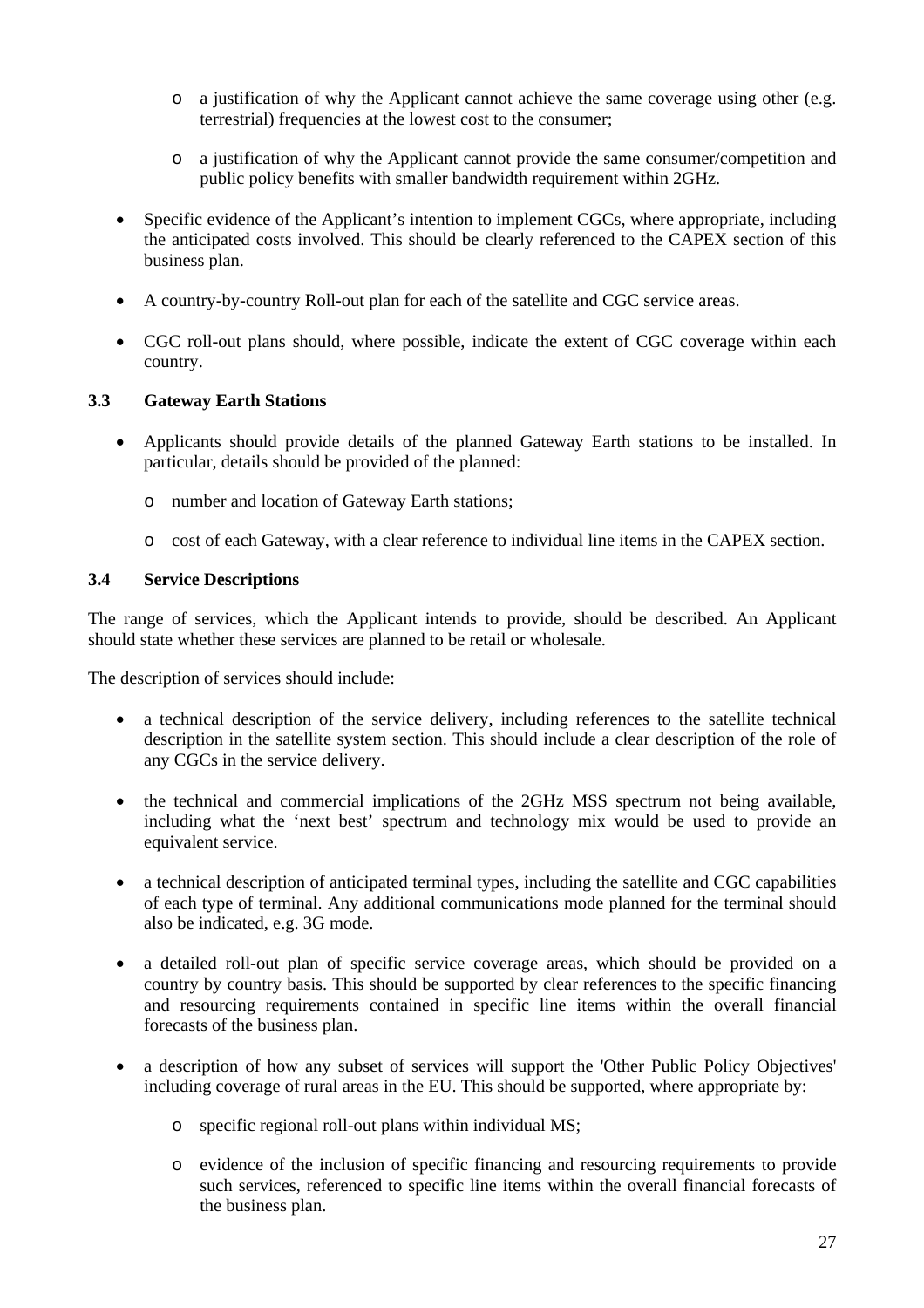- o a justification of why the Applicant cannot achieve the same coverage using other (e.g. terrestrial) frequencies at the lowest cost to the consumer;
- o a justification of why the Applicant cannot provide the same consumer/competition and public policy benefits with smaller bandwidth requirement within 2GHz.
- Specific evidence of the Applicant's intention to implement CGCs, where appropriate, including the anticipated costs involved. This should be clearly referenced to the CAPEX section of this business plan.
- A country-by-country Roll-out plan for each of the satellite and CGC service areas.
- CGC roll-out plans should, where possible, indicate the extent of CGC coverage within each country.

## **3.3 Gateway Earth Stations**

- Applicants should provide details of the planned Gateway Earth stations to be installed. In particular, details should be provided of the planned:
	- o number and location of Gateway Earth stations;
	- o cost of each Gateway, with a clear reference to individual line items in the CAPEX section.

## **3.4 Service Descriptions**

The range of services, which the Applicant intends to provide, should be described. An Applicant should state whether these services are planned to be retail or wholesale.

The description of services should include:

- a technical description of the service delivery, including references to the satellite technical description in the satellite system section. This should include a clear description of the role of any CGCs in the service delivery.
- the technical and commercial implications of the 2GHz MSS spectrum not being available, including what the 'next best' spectrum and technology mix would be used to provide an equivalent service.
- a technical description of anticipated terminal types, including the satellite and CGC capabilities of each type of terminal. Any additional communications mode planned for the terminal should also be indicated, e.g. 3G mode.
- a detailed roll-out plan of specific service coverage areas, which should be provided on a country by country basis. This should be supported by clear references to the specific financing and resourcing requirements contained in specific line items within the overall financial forecasts of the business plan.
- a description of how any subset of services will support the 'Other Public Policy Objectives' including coverage of rural areas in the EU. This should be supported, where appropriate by:
	- o specific regional roll-out plans within individual MS;
	- o evidence of the inclusion of specific financing and resourcing requirements to provide such services, referenced to specific line items within the overall financial forecasts of the business plan.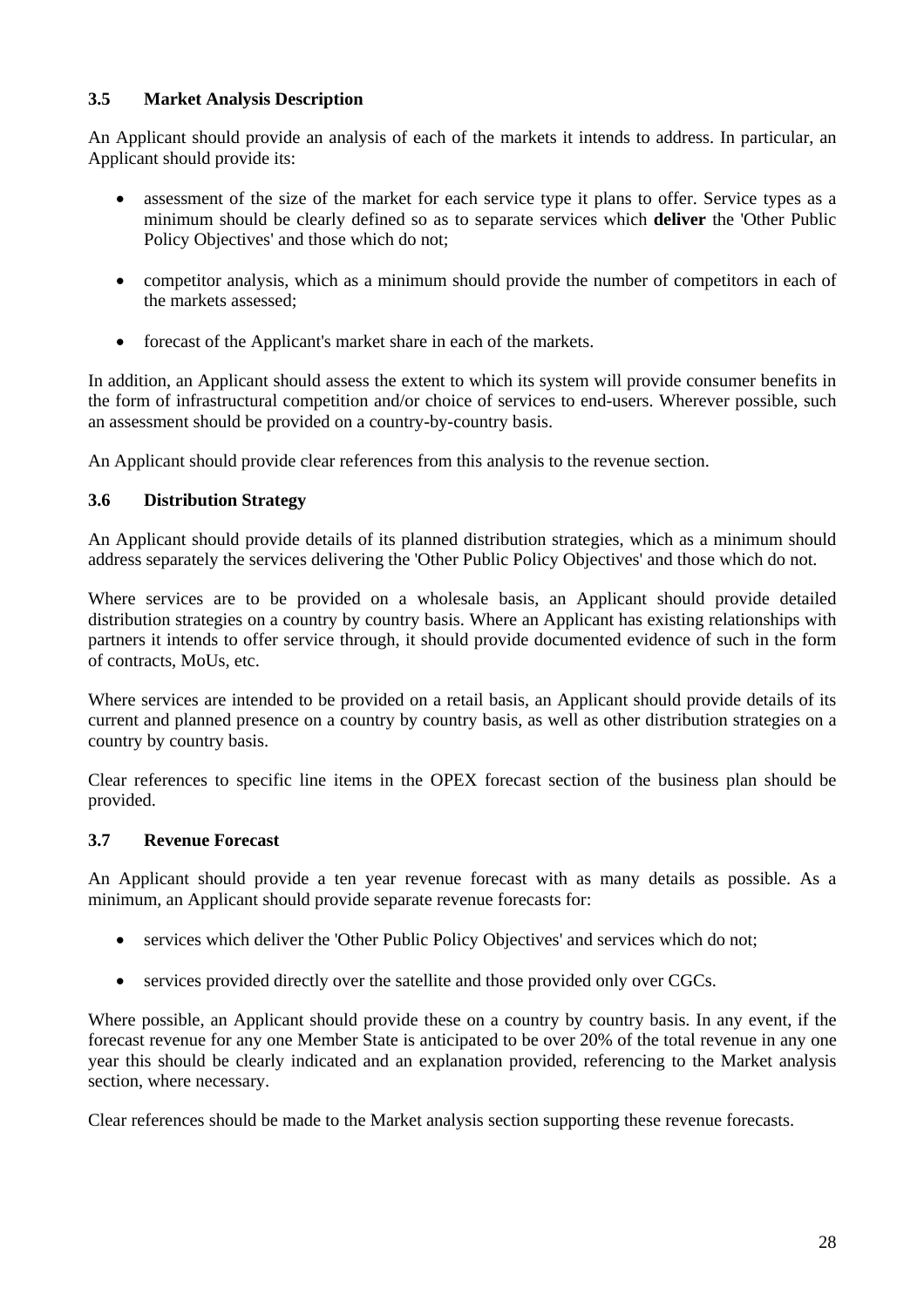## **3.5 Market Analysis Description**

An Applicant should provide an analysis of each of the markets it intends to address. In particular, an Applicant should provide its:

- assessment of the size of the market for each service type it plans to offer. Service types as a minimum should be clearly defined so as to separate services which **deliver** the 'Other Public Policy Objectives' and those which do not;
- competitor analysis, which as a minimum should provide the number of competitors in each of the markets assessed;
- forecast of the Applicant's market share in each of the markets.

In addition, an Applicant should assess the extent to which its system will provide consumer benefits in the form of infrastructural competition and/or choice of services to end-users. Wherever possible, such an assessment should be provided on a country-by-country basis.

An Applicant should provide clear references from this analysis to the revenue section.

## **3.6 Distribution Strategy**

An Applicant should provide details of its planned distribution strategies, which as a minimum should address separately the services delivering the 'Other Public Policy Objectives' and those which do not.

Where services are to be provided on a wholesale basis, an Applicant should provide detailed distribution strategies on a country by country basis. Where an Applicant has existing relationships with partners it intends to offer service through, it should provide documented evidence of such in the form of contracts, MoUs, etc.

Where services are intended to be provided on a retail basis, an Applicant should provide details of its current and planned presence on a country by country basis, as well as other distribution strategies on a country by country basis.

Clear references to specific line items in the OPEX forecast section of the business plan should be provided.

## **3.7 Revenue Forecast**

An Applicant should provide a ten year revenue forecast with as many details as possible. As a minimum, an Applicant should provide separate revenue forecasts for:

- services which deliver the 'Other Public Policy Objectives' and services which do not;
- services provided directly over the satellite and those provided only over CGCs.

Where possible, an Applicant should provide these on a country by country basis. In any event, if the forecast revenue for any one Member State is anticipated to be over 20% of the total revenue in any one year this should be clearly indicated and an explanation provided, referencing to the Market analysis section, where necessary.

Clear references should be made to the Market analysis section supporting these revenue forecasts.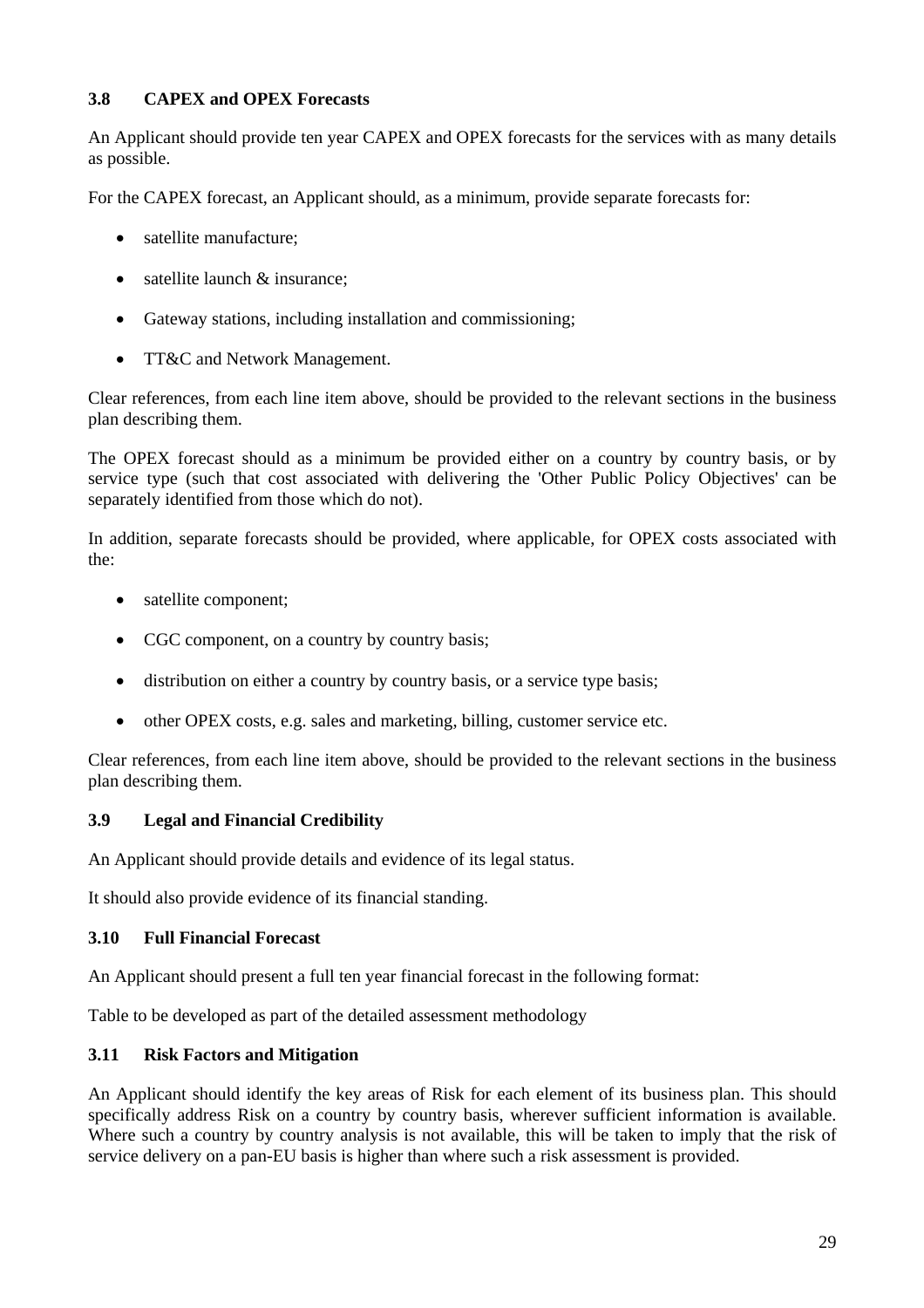## **3.8 CAPEX and OPEX Forecasts**

An Applicant should provide ten year CAPEX and OPEX forecasts for the services with as many details as possible.

For the CAPEX forecast, an Applicant should, as a minimum, provide separate forecasts for:

- satellite manufacture:
- satellite launch & insurance;
- Gateway stations, including installation and commissioning;
- TT&C and Network Management.

Clear references, from each line item above, should be provided to the relevant sections in the business plan describing them.

The OPEX forecast should as a minimum be provided either on a country by country basis, or by service type (such that cost associated with delivering the 'Other Public Policy Objectives' can be separately identified from those which do not).

In addition, separate forecasts should be provided, where applicable, for OPEX costs associated with the:

- satellite component;
- CGC component, on a country by country basis;
- distribution on either a country by country basis, or a service type basis;
- other OPEX costs, e.g. sales and marketing, billing, customer service etc.

Clear references, from each line item above, should be provided to the relevant sections in the business plan describing them.

#### **3.9 Legal and Financial Credibility**

An Applicant should provide details and evidence of its legal status.

It should also provide evidence of its financial standing.

#### **3.10 Full Financial Forecast**

An Applicant should present a full ten year financial forecast in the following format:

Table to be developed as part of the detailed assessment methodology

#### **3.11 Risk Factors and Mitigation**

An Applicant should identify the key areas of Risk for each element of its business plan. This should specifically address Risk on a country by country basis, wherever sufficient information is available. Where such a country by country analysis is not available, this will be taken to imply that the risk of service delivery on a pan-EU basis is higher than where such a risk assessment is provided.